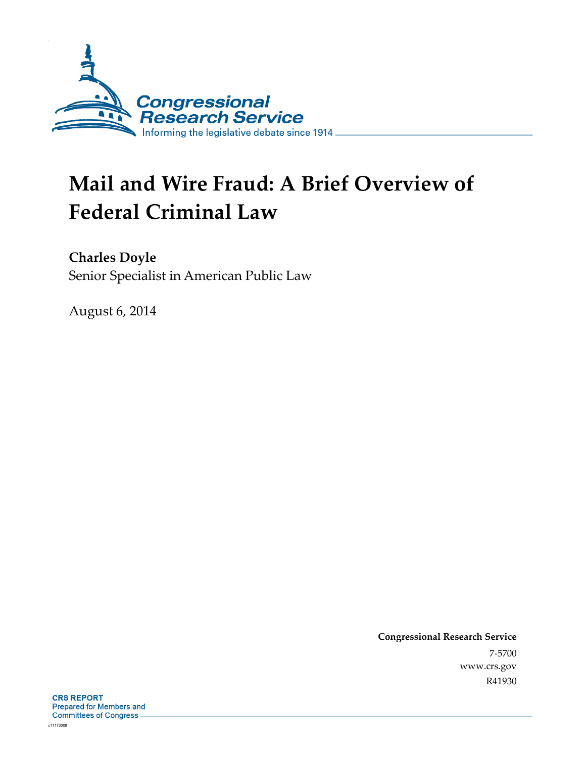

# **Mail and Wire Fraud: A Brief Overview of Federal Criminal Law**

**Charles Doyle** 

Senior Specialist in American Public Law

August 6, 2014

**Congressional Research Service**  7-5700 www.crs.gov R41930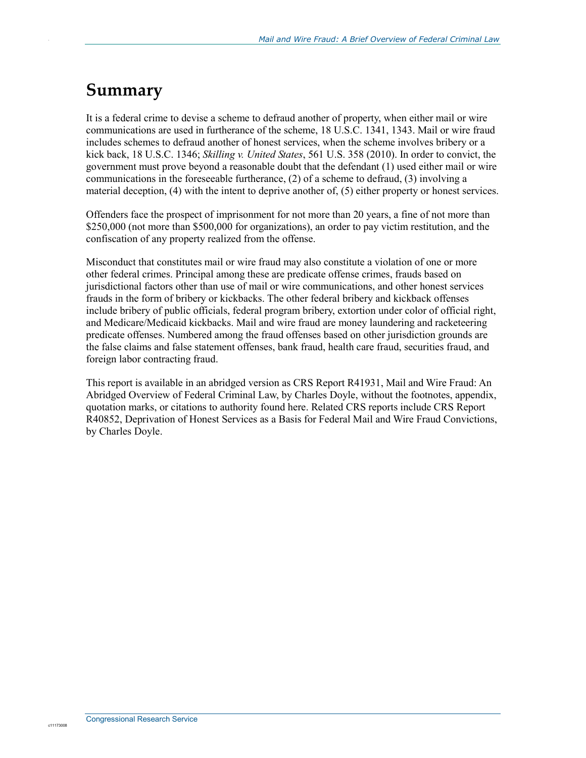## **Summary**

.

It is a federal crime to devise a scheme to defraud another of property, when either mail or wire communications are used in furtherance of the scheme, 18 U.S.C. 1341, 1343. Mail or wire fraud includes schemes to defraud another of honest services, when the scheme involves bribery or a kick back, 18 U.S.C. 1346; *Skilling v. United States*, 561 U.S. 358 (2010). In order to convict, the government must prove beyond a reasonable doubt that the defendant (1) used either mail or wire communications in the foreseeable furtherance, (2) of a scheme to defraud, (3) involving a material deception, (4) with the intent to deprive another of, (5) either property or honest services.

Offenders face the prospect of imprisonment for not more than 20 years, a fine of not more than \$250,000 (not more than \$500,000 for organizations), an order to pay victim restitution, and the confiscation of any property realized from the offense.

Misconduct that constitutes mail or wire fraud may also constitute a violation of one or more other federal crimes. Principal among these are predicate offense crimes, frauds based on jurisdictional factors other than use of mail or wire communications, and other honest services frauds in the form of bribery or kickbacks. The other federal bribery and kickback offenses include bribery of public officials, federal program bribery, extortion under color of official right, and Medicare/Medicaid kickbacks. Mail and wire fraud are money laundering and racketeering predicate offenses. Numbered among the fraud offenses based on other jurisdiction grounds are the false claims and false statement offenses, bank fraud, health care fraud, securities fraud, and foreign labor contracting fraud.

This report is available in an abridged version as CRS Report R41931, Mail and Wire Fraud: An Abridged Overview of Federal Criminal Law, by Charles Doyle, without the footnotes, appendix, quotation marks, or citations to authority found here. Related CRS reports include CRS Report R40852, Deprivation of Honest Services as a Basis for Federal Mail and Wire Fraud Convictions, by Charles Doyle.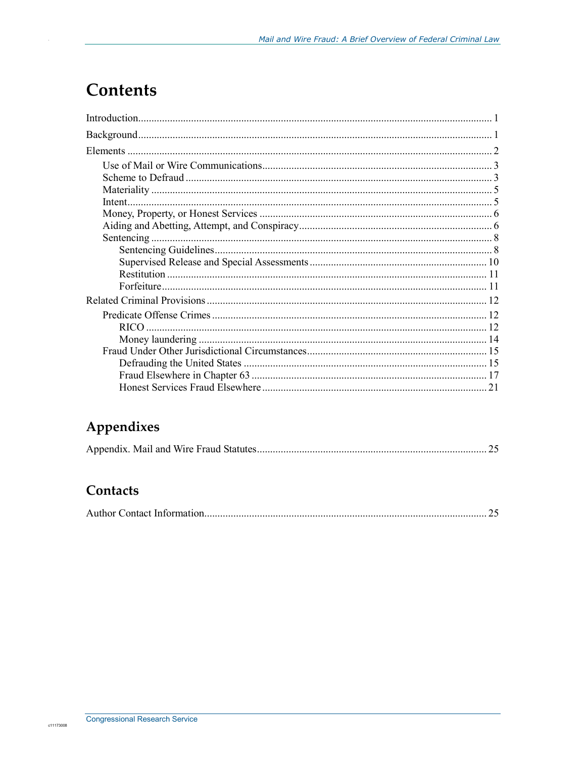## **Contents**

## Appendixes

|--|--|--|--|

### Contacts

|--|--|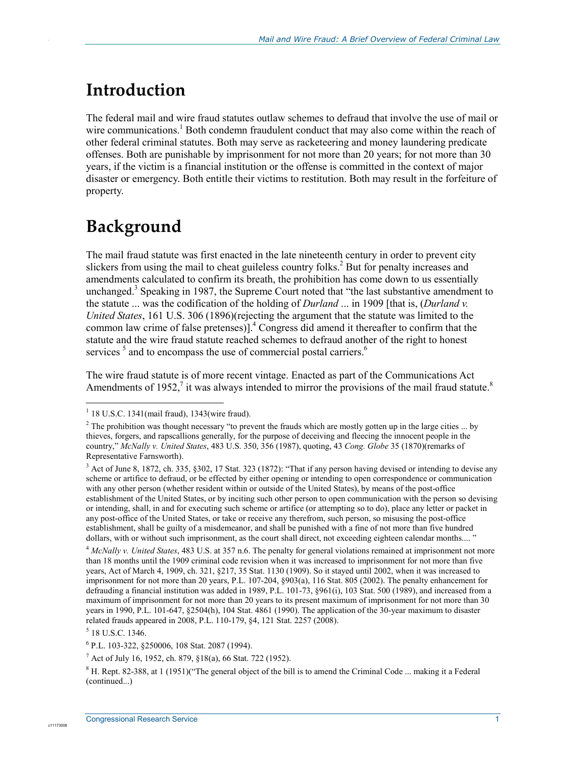## **Introduction**

.

The federal mail and wire fraud statutes outlaw schemes to defraud that involve the use of mail or wire communications.<sup>1</sup> Both condemn fraudulent conduct that may also come within the reach of other federal criminal statutes. Both may serve as racketeering and money laundering predicate offenses. Both are punishable by imprisonment for not more than 20 years; for not more than 30 years, if the victim is a financial institution or the offense is committed in the context of major disaster or emergency. Both entitle their victims to restitution. Both may result in the forfeiture of property.

## **Background**

The mail fraud statute was first enacted in the late nineteenth century in order to prevent city slickers from using the mail to cheat guileless country folks.<sup>2</sup> But for penalty increases and amendments calculated to confirm its breath, the prohibition has come down to us essentially unchanged.<sup>3</sup> Speaking in 1987, the Supreme Court noted that "the last substantive amendment to the statute ... was the codification of the holding of *Durland* ... in 1909 [that is, (*Durland v. United States*, 161 U.S. 306 (1896)(rejecting the argument that the statute was limited to the common law crime of false pretenses) $]$ <sup>4</sup>. Congress did amend it thereafter to confirm that the statute and the wire fraud statute reached schemes to defraud another of the right to honest services<sup>5</sup> and to encompass the use of commercial postal carriers.<sup>6</sup>

The wire fraud statute is of more recent vintage. Enacted as part of the Communications Act Amendments of 1952,<sup>7</sup> it was always intended to mirror the provisions of the mail fraud statute.<sup>8</sup>

1

<sup>1</sup> 18 U.S.C. 1341(mail fraud), 1343(wire fraud).

<sup>&</sup>lt;sup>2</sup> The prohibition was thought necessary "to prevent the frauds which are mostly gotten up in the large cities ... by thieves, forgers, and rapscallions generally, for the purpose of deceiving and fleecing the innocent people in the country," *McNally v. United States*, 483 U.S. 350, 356 (1987), quoting, 43 *Cong. Globe* 35 (1870)(remarks of Representative Farnsworth).

<sup>&</sup>lt;sup>3</sup> Act of June 8, 1872, ch. 335, §302, 17 Stat. 323 (1872): "That if any person having devised or intending to devise any scheme or artifice to defraud, or be effected by either opening or intending to open correspondence or communication with any other person (whether resident within or outside of the United States), by means of the post-office establishment of the United States, or by inciting such other person to open communication with the person so devising or intending, shall, in and for executing such scheme or artifice (or attempting so to do), place any letter or packet in any post-office of the United States, or take or receive any therefrom, such person, so misusing the post-office establishment, shall be guilty of a misdemeanor, and shall be punished with a fine of not more than five hundred dollars, with or without such imprisonment, as the court shall direct, not exceeding eighteen calendar months.... "

<sup>4</sup> *McNally v. United States*, 483 U.S. at 357 n.6. The penalty for general violations remained at imprisonment not more than 18 months until the 1909 criminal code revision when it was increased to imprisonment for not more than five years, Act of March 4, 1909, ch. 321, §217, 35 Stat. 1130 (1909). So it stayed until 2002, when it was increased to imprisonment for not more than 20 years, P.L. 107-204, §903(a), 116 Stat. 805 (2002). The penalty enhancement for defrauding a financial institution was added in 1989, P.L. 101-73, §961(i), 103 Stat. 500 (1989), and increased from a maximum of imprisonment for not more than 20 years to its present maximum of imprisonment for not more than 30 years in 1990, P.L. 101-647, §2504(h), 104 Stat. 4861 (1990). The application of the 30-year maximum to disaster related frauds appeared in 2008, P.L. 110-179, §4, 121 Stat. 2257 (2008).

<sup>5</sup> 18 U.S.C. 1346.

<sup>6</sup> P.L. 103-322, §250006, 108 Stat. 2087 (1994).

<sup>&</sup>lt;sup>7</sup> Act of July 16, 1952, ch. 879, §18(a), 66 Stat. 722 (1952).

 $8$  H. Rept. 82-388, at 1 (1951)("The general object of the bill is to amend the Criminal Code ... making it a Federal (continued...)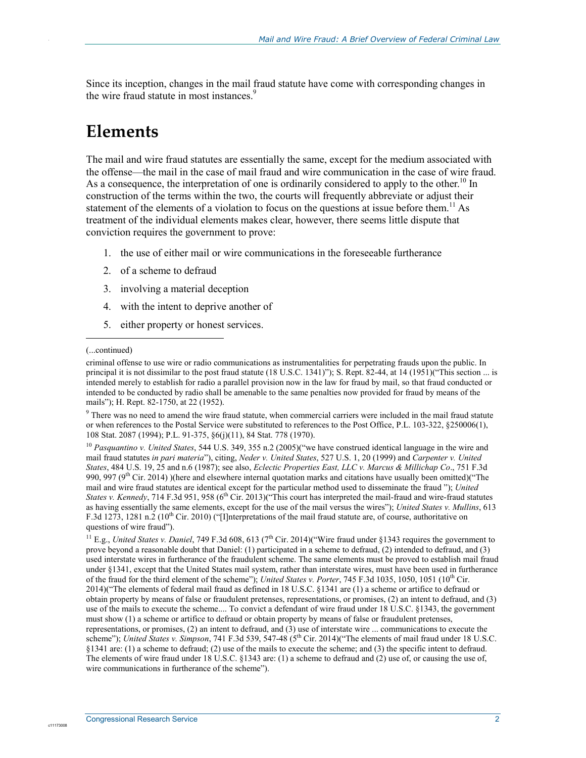Since its inception, changes in the mail fraud statute have come with corresponding changes in the wire fraud statute in most instances.<sup>9</sup>

## **Elements**

.

The mail and wire fraud statutes are essentially the same, except for the medium associated with the offense—the mail in the case of mail fraud and wire communication in the case of wire fraud. As a consequence, the interpretation of one is ordinarily considered to apply to the other.<sup>10</sup> In construction of the terms within the two, the courts will frequently abbreviate or adjust their statement of the elements of a violation to focus on the questions at issue before them.<sup>11</sup> As treatment of the individual elements makes clear, however, there seems little dispute that conviction requires the government to prove:

- 1. the use of either mail or wire communications in the foreseeable furtherance
- 2. of a scheme to defraud
- 3. involving a material deception
- 4. with the intent to deprive another of
- 5. either property or honest services.

(...continued)

1

<sup>9</sup> There was no need to amend the wire fraud statute, when commercial carriers were included in the mail fraud statute or when references to the Postal Service were substituted to references to the Post Office, P.L. 103-322, §250006(1), 108 Stat. 2087 (1994); P.L. 91-375, §6(j)(11), 84 Stat. 778 (1970).

<sup>10</sup> *Pasquantino v. United States*, 544 U.S. 349, 355 n.2 (2005)("we have construed identical language in the wire and mail fraud statutes *in pari materia*"), citing, *Neder v. United States*, 527 U.S. 1, 20 (1999) and *Carpenter v. United States*, 484 U.S. 19, 25 and n.6 (1987); see also, *Eclectic Properties East, LLC v. Marcus & Millichap Co*., 751 F.3d 990, 997 (9<sup>th</sup> Cir. 2014) )(here and elsewhere internal quotation marks and citations have usually been omitted)("The mail and wire fraud statutes are identical except for the particular method used to disseminate the fraud "); *United States v. Kennedy*, 714 F.3d 951, 958 (6<sup>th</sup> Cir. 2013)("This court has interpreted the mail-fraud and wire-fraud statutes as having essentially the same elements, except for the use of the mail versus the wires"); *United States v. Mullins*, 613 F.3d 1273, 1281 n.2 (10<sup>th</sup> Cir. 2010) ("[I]nterpretations of the mail fraud statute are, of course, authoritative on questions of wire fraud").

<sup>11</sup> E.g., *United States v. Daniel*, 749 F.3d 608, 613 ( $7<sup>th</sup>$  Cir. 2014)("Wire fraud under §1343 requires the government to prove beyond a reasonable doubt that Daniel: (1) participated in a scheme to defraud, (2) intended to defraud, and (3) used interstate wires in furtherance of the fraudulent scheme. The same elements must be proved to establish mail fraud under §1341, except that the United States mail system, rather than interstate wires, must have been used in furtherance of the fraud for the third element of the scheme"); *United States v. Porter*, 745 F.3d 1035, 1050, 1051 (10<sup>th</sup> Cir. 2014)("The elements of federal mail fraud as defined in 18 U.S.C. §1341 are (1) a scheme or artifice to defraud or obtain property by means of false or fraudulent pretenses, representations, or promises, (2) an intent to defraud, and (3) use of the mails to execute the scheme.... To convict a defendant of wire fraud under 18 U.S.C. §1343, the government must show (1) a scheme or artifice to defraud or obtain property by means of false or fraudulent pretenses, representations, or promises, (2) an intent to defraud, and (3) use of interstate wire ... communications to execute the scheme"); *United States v. Simpson*, 741 F.3d 539, 547-48 (5<sup>th</sup> Cir. 2014)("The elements of mail fraud under 18 U.S.C. §1341 are: (1) a scheme to defraud; (2) use of the mails to execute the scheme; and (3) the specific intent to defraud. The elements of wire fraud under 18 U.S.C. §1343 are: (1) a scheme to defraud and (2) use of, or causing the use of, wire communications in furtherance of the scheme").

criminal offense to use wire or radio communications as instrumentalities for perpetrating frauds upon the public. In principal it is not dissimilar to the post fraud statute (18 U.S.C. 1341)"); S. Rept. 82-44, at 14 (1951)("This section ... is intended merely to establish for radio a parallel provision now in the law for fraud by mail, so that fraud conducted or intended to be conducted by radio shall be amenable to the same penalties now provided for fraud by means of the mails"); H. Rept. 82-1750, at 22 (1952).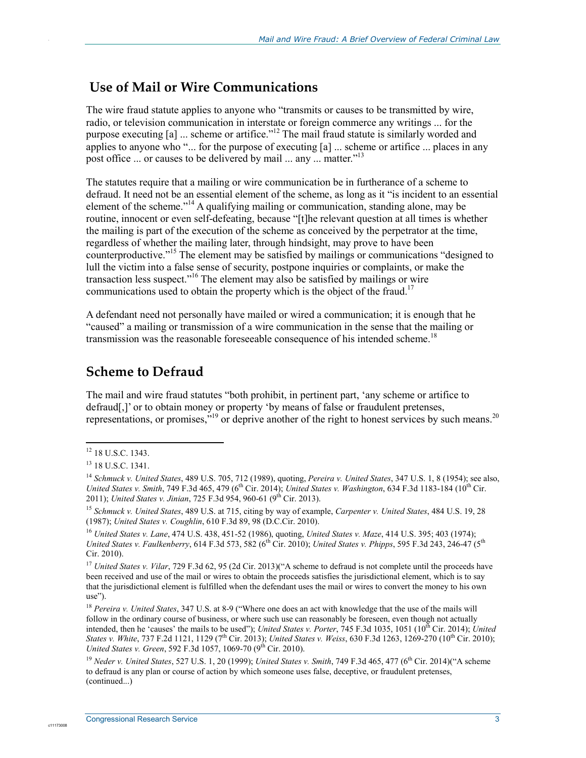### **Use of Mail or Wire Communications**

The wire fraud statute applies to anyone who "transmits or causes to be transmitted by wire, radio, or television communication in interstate or foreign commerce any writings ... for the purpose executing  $[a]$  ... scheme or artifice."<sup>12</sup> The mail fraud statute is similarly worded and applies to anyone who "... for the purpose of executing [a] ... scheme or artifice ... places in any post office ... or causes to be delivered by mail ... any ... matter."<sup>13</sup>

The statutes require that a mailing or wire communication be in furtherance of a scheme to defraud. It need not be an essential element of the scheme, as long as it "is incident to an essential element of the scheme."<sup>14</sup> A qualifying mailing or communication, standing alone, may be routine, innocent or even self-defeating, because "[t]he relevant question at all times is whether the mailing is part of the execution of the scheme as conceived by the perpetrator at the time, regardless of whether the mailing later, through hindsight, may prove to have been counterproductive."15 The element may be satisfied by mailings or communications "designed to lull the victim into a false sense of security, postpone inquiries or complaints, or make the transaction less suspect."<sup>16</sup> The element may also be satisfied by mailings or wire communications used to obtain the property which is the object of the fraud.<sup>17</sup>

A defendant need not personally have mailed or wired a communication; it is enough that he "caused" a mailing or transmission of a wire communication in the sense that the mailing or transmission was the reasonable foreseeable consequence of his intended scheme.<sup>18</sup>

### **Scheme to Defraud**

The mail and wire fraud statutes "both prohibit, in pertinent part, 'any scheme or artifice to defraud[.]' or to obtain money or property 'by means of false or fraudulent pretenses, representations, or promises,  $^{19}$  or deprive another of the right to honest services by such means.<sup>20</sup>

<u>.</u>

.

<sup>&</sup>lt;sup>12</sup> 18 U.S.C. 1343.

<sup>&</sup>lt;sup>13</sup> 18 U.S.C. 1341.

<sup>14</sup> *Schmuck v. United States*, 489 U.S. 705, 712 (1989), quoting, *Pereira v. United States*, 347 U.S. 1, 8 (1954); see also, *United States v. Smith, 749 F.3d 465, 479 (6<sup>th</sup> Cir. 2014); <i>United States v. Washington, 634 F.3d 1183-184 (10<sup>th</sup> Cir.* 2011); *United States v. Jinian*, 725 F.3d 954, 960-61 (9<sup>th</sup> Cir. 2013).

<sup>15</sup> *Schmuck v. United States*, 489 U.S. at 715, citing by way of example, *Carpenter v. United States*, 484 U.S. 19, 28 (1987); *United States v. Coughlin*, 610 F.3d 89, 98 (D.C.Cir. 2010).

<sup>16</sup> *United States v. Lane*, 474 U.S. 438, 451-52 (1986), quoting, *United States v. Maze*, 414 U.S. 395; 403 (1974); *United States v. Faulkenberry*, 614 F.3d 573, 582 (6<sup>th</sup> Cir. 2010); *United States v. Phipps*, 595 F.3d 243, 246-47 (5<sup>th</sup>) Cir. 2010).

<sup>&</sup>lt;sup>17</sup> *United States v. Vilar,* 729 F.3d 62, 95 (2d Cir. 2013)("A scheme to defraud is not complete until the proceeds have been received and use of the mail or wires to obtain the proceeds satisfies the jurisdictional element, which is to say that the jurisdictional element is fulfilled when the defendant uses the mail or wires to convert the money to his own use").

<sup>18</sup> *Pereira v. United States*, 347 U.S. at 8-9 ("Where one does an act with knowledge that the use of the mails will follow in the ordinary course of business, or where such use can reasonably be foreseen, even though not actually intended, then he 'causes' the mails to be used"); *United States v. Porter*, 745 F.3d 1035, 1051 (10<sup>th</sup> Cir. 2014); *United States v. White*, 737 F.2d 1121, 1129 (7<sup>th</sup> Cir. 2013); *United States v. Weiss*, 630 F.3d 1263, 1269-270 (10<sup>th</sup> Cir. 2010); *United States v. Green, 592 F.3d 1057, 1069-70 (9<sup>th</sup> Cir. 2010).* 

<sup>19</sup> *Neder v. United States*, 527 U.S. 1, 20 (1999); *United States v. Smith*, 749 F.3d 465, 477 (6th Cir. 2014)("A scheme to defraud is any plan or course of action by which someone uses false, deceptive, or fraudulent pretenses, (continued...)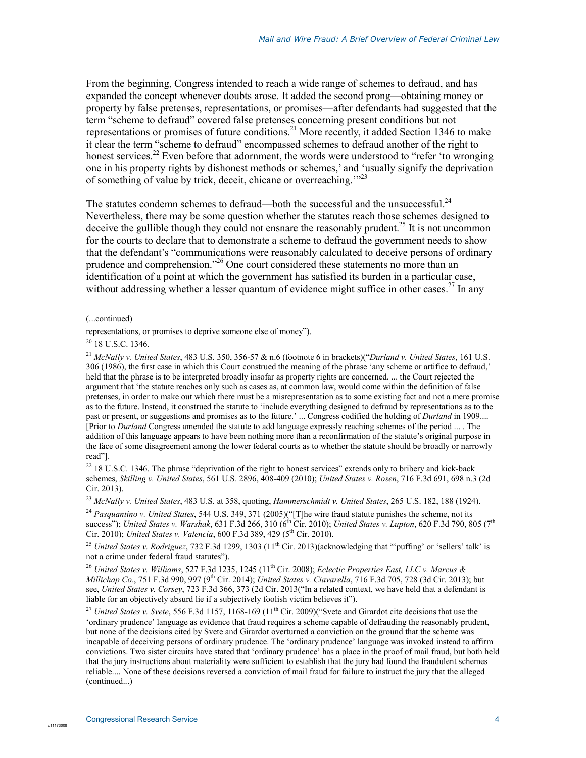From the beginning, Congress intended to reach a wide range of schemes to defraud, and has expanded the concept whenever doubts arose. It added the second prong—obtaining money or property by false pretenses, representations, or promises—after defendants had suggested that the term "scheme to defraud" covered false pretenses concerning present conditions but not representations or promises of future conditions.<sup>21</sup> More recently, it added Section 1346 to make it clear the term "scheme to defraud" encompassed schemes to defraud another of the right to honest services.<sup>22</sup> Even before that adornment, the words were understood to "refer 'to wronging one in his property rights by dishonest methods or schemes,' and 'usually signify the deprivation of something of value by trick, deceit, chicane or overreaching.<sup>"23</sup>

The statutes condemn schemes to defraud—both the successful and the unsuccessful.<sup>24</sup> Nevertheless, there may be some question whether the statutes reach those schemes designed to deceive the gullible though they could not ensnare the reasonably prudent.<sup>25</sup> It is not uncommon for the courts to declare that to demonstrate a scheme to defraud the government needs to show that the defendant's "communications were reasonably calculated to deceive persons of ordinary prudence and comprehension."<sup>26</sup> One court considered these statements no more than an identification of a point at which the government has satisfied its burden in a particular case, without addressing whether a lesser quantum of evidence might suffice in other cases.<sup>27</sup> In any

(...continued)

 $\overline{a}$ 

.

<sup>22</sup> 18 U.S.C. 1346. The phrase "deprivation of the right to honest services" extends only to bribery and kick-back schemes, *Skilling v. United States*, 561 U.S. 2896, 408-409 (2010); *United States v. Rosen*, 716 F.3d 691, 698 n.3 (2d Cir. 2013).

<sup>23</sup> *McNally v. United States*, 483 U.S. at 358, quoting, *Hammerschmidt v. United States*, 265 U.S. 182, 188 (1924).

<sup>24</sup> *Pasquantino v. United States*, 544 U.S. 349, 371 (2005)("The wire fraud statute punishes the scheme, not its success"); *United States v. Warshak*, 631 F.3d 266, 310 (6<sup>th</sup> Cir. 2010); *United States v. Lupton*, 620 F.3d 790, 805 (7<sup>th</sup> Cir. 2010); *United States v. Valencia*, 600 F.3d 389, 429 (5<sup>th</sup> Cir. 2010).

<sup>25</sup> *United States v. Rodriguez*, 732 F.3d 1299, 1303 (11<sup>th</sup> Cir. 2013)(acknowledging that ""puffing' or "sellers" talk' is not a crime under federal fraud statutes").

<sup>26</sup> *United States v. Williams, 527 F.3d 1235, 1245 (11<sup>th</sup> Cir. 2008); <i>Eclectic Properties East, LLC v. Marcus & Millichap Co*., 751 F.3d 990, 997 (9th Cir. 2014); *United States v. Ciavarella*, 716 F.3d 705, 728 (3d Cir. 2013); but see, *United States v. Corsey*, 723 F.3d 366, 373 (2d Cir. 2013("In a related context, we have held that a defendant is liable for an objectively absurd lie if a subjectively foolish victim believes it").

<sup>27</sup> *United States v. Svete,* 556 F.3d 1157, 1168-169 (11<sup>th</sup> Cir. 2009)("Svete and Girardot cite decisions that use the 'ordinary prudence' language as evidence that fraud requires a scheme capable of defrauding the reasonably prudent, but none of the decisions cited by Svete and Girardot overturned a conviction on the ground that the scheme was incapable of deceiving persons of ordinary prudence. The 'ordinary prudence' language was invoked instead to affirm convictions. Two sister circuits have stated that 'ordinary prudence' has a place in the proof of mail fraud, but both held that the jury instructions about materiality were sufficient to establish that the jury had found the fraudulent schemes reliable.... None of these decisions reversed a conviction of mail fraud for failure to instruct the jury that the alleged (continued...)

representations, or promises to deprive someone else of money").

<sup>&</sup>lt;sup>20</sup> 18 U.S.C. 1346.

<sup>21</sup> *McNally v. United States*, 483 U.S. 350, 356-57 & n.6 (footnote 6 in brackets)("*Durland v. United States*, 161 U.S. 306 (1986), the first case in which this Court construed the meaning of the phrase 'any scheme or artifice to defraud,' held that the phrase is to be interpreted broadly insofar as property rights are concerned. ... the Court rejected the argument that 'the statute reaches only such as cases as, at common law, would come within the definition of false pretenses, in order to make out which there must be a misrepresentation as to some existing fact and not a mere promise as to the future. Instead, it construed the statute to 'include everything designed to defraud by representations as to the past or present, or suggestions and promises as to the future.' ... Congress codified the holding of *Durland* in 1909.... [Prior to *Durland* Congress amended the statute to add language expressly reaching schemes of the period ... . The addition of this language appears to have been nothing more than a reconfirmation of the statute's original purpose in the face of some disagreement among the lower federal courts as to whether the statute should be broadly or narrowly read"].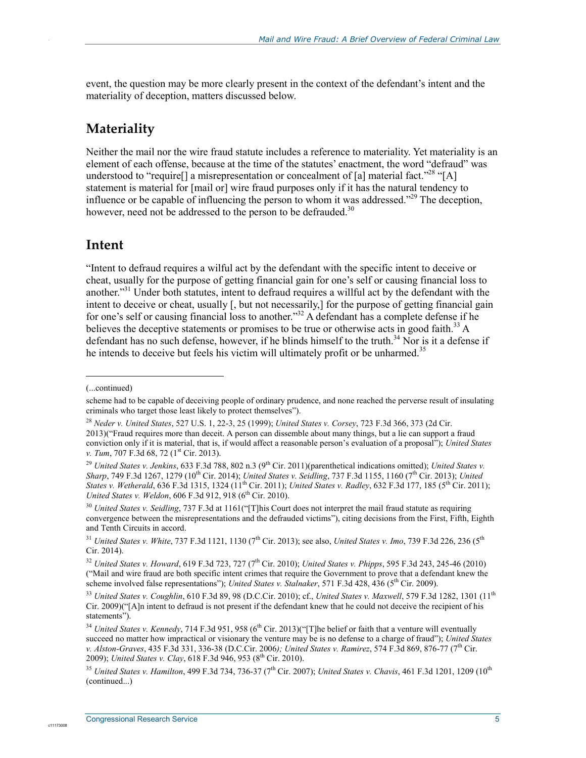event, the question may be more clearly present in the context of the defendant's intent and the materiality of deception, matters discussed below.

### **Materiality**

.

Neither the mail nor the wire fraud statute includes a reference to materiality. Yet materiality is an element of each offense, because at the time of the statutes' enactment, the word "defraud" was understood to "require<sup>[]</sup> a misrepresentation or concealment of [a] material fact.<sup>228</sup> "[A] statement is material for [mail or] wire fraud purposes only if it has the natural tendency to influence or be capable of influencing the person to whom it was addressed."<sup>29</sup> The deception, however, need not be addressed to the person to be defrauded.<sup>30</sup>

### **Intent**

"Intent to defraud requires a wilful act by the defendant with the specific intent to deceive or cheat, usually for the purpose of getting financial gain for one's self or causing financial loss to another.<sup>331</sup> Under both statutes, intent to defraud requires a willful act by the defendant with the intent to deceive or cheat, usually [, but not necessarily,] for the purpose of getting financial gain for one's self or causing financial loss to another."32 A defendant has a complete defense if he believes the deceptive statements or promises to be true or otherwise acts in good faith.<sup>33</sup> A defendant has no such defense, however, if he blinds himself to the truth.<sup>34</sup> Nor is it a defense if he intends to deceive but feels his victim will ultimately profit or be unharmed.<sup>35</sup>

1

<sup>(...</sup>continued)

scheme had to be capable of deceiving people of ordinary prudence, and none reached the perverse result of insulating criminals who target those least likely to protect themselves").

<sup>28</sup> *Neder v. United States*, 527 U.S. 1, 22-3, 25 (1999); *United States v. Corsey*, 723 F.3d 366, 373 (2d Cir. 2013)("Fraud requires more than deceit. A person can dissemble about many things, but a lie can support a fraud conviction only if it is material, that is, if would affect a reasonable person's evaluation of a proposal"); *United States v. Tum*, 707 F.3d 68, 72 (1<sup>st</sup> Cir. 2013).

<sup>&</sup>lt;sup>29</sup> *United States v. Jenkins*, 633 F.3d 788, 802 n.3 (9<sup>th</sup> Cir. 2011)(parenthetical indications omitted); *United States v. Sharp*, 749 F.3d 1267, 1279 (10th Cir. 2014); *United States v. Seidling*, 737 F.3d 1155, 1160 (7th Cir. 2013); *United States v. Wetherald*, 636 F.3d 1315, 1324 (11th Cir. 2011); *United States v. Radley*, 632 F.3d 177, 185 (5th Cir. 2011); *United States v. Weldon, 606 F.3d 912, 918 (6<sup>th</sup> Cir. 2010).* 

<sup>30</sup> *United States v. Seidling*, 737 F.3d at 1161("[T]his Court does not interpret the mail fraud statute as requiring convergence between the misrepresentations and the defrauded victims"), citing decisions from the First, Fifth, Eighth and Tenth Circuits in accord.

<sup>&</sup>lt;sup>31</sup> *United States v. White*, 737 F.3d 1121, 1130 (7<sup>th</sup> Cir. 2013); see also, *United States v. Imo*, 739 F.3d 226, 236 (5<sup>th</sup> Cir. 2014).

<sup>32</sup> *United States v. Howard*, 619 F.3d 723, 727 (7th Cir. 2010); *United States v. Phipps*, 595 F.3d 243, 245-46 (2010) ("Mail and wire fraud are both specific intent crimes that require the Government to prove that a defendant knew the scheme involved false representations"); *United States v. Stalnaker*, 571 F.3d 428, 436 (5<sup>th</sup> Cir. 2009).

<sup>33</sup> *United States v. Coughlin*, 610 F.3d 89, 98 (D.C.Cir. 2010); cf., *United States v. Maxwell*, 579 F.3d 1282, 1301 (11th Cir. 2009)("[A]n intent to defraud is not present if the defendant knew that he could not deceive the recipient of his statements").

<sup>&</sup>lt;sup>34</sup> *United States v. Kennedy*, 714 F.3d 951, 958 (6<sup>th</sup> Cir. 2013)("[T]he belief or faith that a venture will eventually succeed no matter how impractical or visionary the venture may be is no defense to a charge of fraud"); *United States v. Alston-Graves*, 435 F.3d 331, 336-38 (D.C.Cir. 2006*); United States v. Ramirez*, 574 F.3d 869, 876-77 (7th Cir. 2009); *United States v. Clay*, 618 F.3d 946, 953 (8<sup>th</sup> Cir. 2010).

<sup>35</sup> *United States v. Hamilton*, 499 F.3d 734, 736-37 (7th Cir. 2007); *United States v. Chavis*, 461 F.3d 1201, 1209 (10th (continued...)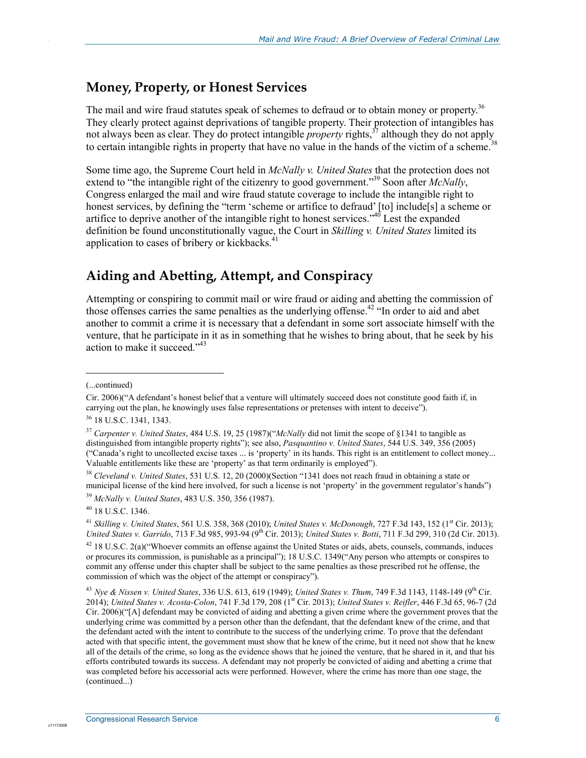### **Money, Property, or Honest Services**

The mail and wire fraud statutes speak of schemes to defraud or to obtain money or property.<sup>36</sup> They clearly protect against deprivations of tangible property. Their protection of intangibles has not always been as clear. They do protect intangible *property* rights,<sup>37</sup> although they do not apply to certain intangible rights in property that have no value in the hands of the victim of a scheme.<sup>3</sup>

Some time ago, the Supreme Court held in *McNally v. United States* that the protection does not extend to "the intangible right of the citizenry to good government."<sup>39</sup> Soon after *McNally*, Congress enlarged the mail and wire fraud statute coverage to include the intangible right to honest services, by defining the "term 'scheme or artifice to defraud' [to] include[s] a scheme or artifice to deprive another of the intangible right to honest services." $40$  Lest the expanded definition be found unconstitutionally vague, the Court in *Skilling v. United States* limited its application to cases of bribery or kickbacks.<sup>41</sup>

### **Aiding and Abetting, Attempt, and Conspiracy**

Attempting or conspiring to commit mail or wire fraud or aiding and abetting the commission of those offenses carries the same penalties as the underlying offense.<sup>42</sup> "In order to aid and abet another to commit a crime it is necessary that a defendant in some sort associate himself with the venture, that he participate in it as in something that he wishes to bring about, that he seek by his action to make it succeed."43

1

.

<sup>38</sup> *Cleveland v. United States*, 531 U.S. 12, 20 (2000)(Section "1341 does not reach fraud in obtaining a state or municipal license of the kind here involved, for such a license is not 'property' in the government regulator's hands")

<sup>41</sup> *Skilling v. United States*, 561 U.S. 358, 368 (2010); *United States v. McDonough*, 727 F.3d 143, 152 (1st Cir. 2013); *United States v. Garrido*, 713 F.3d 985, 993-94 (9th Cir. 2013); *United States v. Botti*, 711 F.3d 299, 310 (2d Cir. 2013).

42 18 U.S.C. 2(a)("Whoever commits an offense against the United States or aids, abets, counsels, commands, induces or procures its commission, is punishable as a principal"); 18 U.S.C. 1349("Any person who attempts or conspires to commit any offense under this chapter shall be subject to the same penalties as those prescribed rot he offense, the commission of which was the object of the attempt or conspiracy").

<sup>(...</sup>continued)

Cir. 2006)("A defendant's honest belief that a venture will ultimately succeed does not constitute good faith if, in carrying out the plan, he knowingly uses false representations or pretenses with intent to deceive").

<sup>36 18</sup> U.S.C. 1341, 1343.

<sup>37</sup> *Carpenter v. United States*, 484 U.S. 19, 25 (1987)("*McNally* did not limit the scope of §1341 to tangible as distinguished from intangible property rights"); see also, *Pasquantino v. United States*, 544 U.S. 349, 356 (2005) ("Canada's right to uncollected excise taxes ... is 'property' in its hands. This right is an entitlement to collect money... Valuable entitlements like these are 'property' as that term ordinarily is employed").

<sup>39</sup> *McNally v. United States*, 483 U.S. 350, 356 (1987).

 $40$  18 U.S.C. 1346.

<sup>43</sup> *Nye & Nissen v. United States*, 336 U.S. 613, 619 (1949); *United States v. Thum*, 749 F.3d 1143, 1148-149 (9th Cir. 2014); *United States v. Acosta-Colon*, 741 F.3d 179, 208 (1st Cir. 2013); *United States v. Reifler*, 446 F.3d 65, 96-7 (2d Cir. 2006)("[A] defendant may be convicted of aiding and abetting a given crime where the government proves that the underlying crime was committed by a person other than the defendant, that the defendant knew of the crime, and that the defendant acted with the intent to contribute to the success of the underlying crime. To prove that the defendant acted with that specific intent, the government must show that he knew of the crime, but it need not show that he knew all of the details of the crime, so long as the evidence shows that he joined the venture, that he shared in it, and that his efforts contributed towards its success. A defendant may not properly be convicted of aiding and abetting a crime that was completed before his accessorial acts were performed. However, where the crime has more than one stage, the (continued...)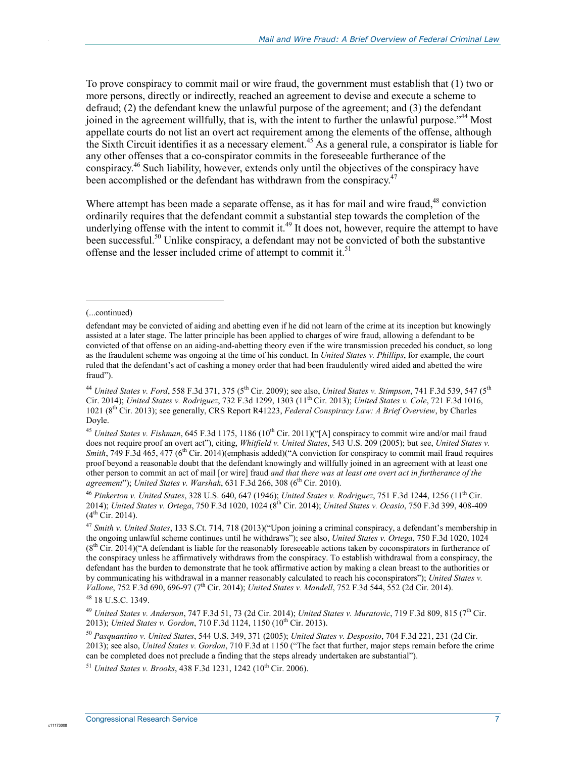To prove conspiracy to commit mail or wire fraud, the government must establish that (1) two or more persons, directly or indirectly, reached an agreement to devise and execute a scheme to defraud; (2) the defendant knew the unlawful purpose of the agreement; and (3) the defendant joined in the agreement willfully, that is, with the intent to further the unlawful purpose."44 Most appellate courts do not list an overt act requirement among the elements of the offense, although the Sixth Circuit identifies it as a necessary element.45 As a general rule, a conspirator is liable for any other offenses that a co-conspirator commits in the foreseeable furtherance of the conspiracy.46 Such liability, however, extends only until the objectives of the conspiracy have been accomplished or the defendant has withdrawn from the conspiracy.<sup>47</sup>

Where attempt has been made a separate offense, as it has for mail and wire fraud, $48$  conviction ordinarily requires that the defendant commit a substantial step towards the completion of the underlying offense with the intent to commit it.<sup>49</sup> It does not, however, require the attempt to have been successful.<sup>50</sup> Unlike conspiracy, a defendant may not be convicted of both the substantive offense and the lesser included crime of attempt to commit it.<sup>51</sup>

 $\overline{a}$ 

.

<sup>46</sup> *Pinkerton v. United States*, 328 U.S. 640, 647 (1946); *United States v. Rodriguez*, 751 F.3d 1244, 1256 (11th Cir. 2014); *United States v. Ortega*, 750 F.3d 1020, 1024 (8th Cir. 2014); *United States v. Ocasio*, 750 F.3d 399, 408-409  $(4^{th}$  Cir. 2014).

<sup>(...</sup>continued)

defendant may be convicted of aiding and abetting even if he did not learn of the crime at its inception but knowingly assisted at a later stage. The latter principle has been applied to charges of wire fraud, allowing a defendant to be convicted of that offense on an aiding-and-abetting theory even if the wire transmission preceded his conduct, so long as the fraudulent scheme was ongoing at the time of his conduct. In *United States v. Phillips*, for example, the court ruled that the defendant's act of cashing a money order that had been fraudulently wired aided and abetted the wire fraud").

<sup>44</sup> *United States v. Ford*, 558 F.3d 371, 375 (5th Cir. 2009); see also, *United States v. Stimpson*, 741 F.3d 539, 547 (5th Cir. 2014); *United States v. Rodriguez*, 732 F.3d 1299, 1303 (11th Cir. 2013); *United States v. Cole*, 721 F.3d 1016, 1021 (8th Cir. 2013); see generally, CRS Report R41223, *Federal Conspiracy Law: A Brief Overview*, by Charles Doyle.

<sup>&</sup>lt;sup>45</sup> *United States v. Fishman*, 645 F.3d 1175, 1186 (10<sup>th</sup> Cir. 2011)("[A] conspiracy to commit wire and/or mail fraud does not require proof an overt act"), citing, *Whitfield v. United States*, 543 U.S. 209 (2005); but see, *United States v. Smith*, 749 F.3d 465, 477 (6<sup>th</sup> Cir. 2014)(emphasis added)("A conviction for conspiracy to commit mail fraud requires proof beyond a reasonable doubt that the defendant knowingly and willfully joined in an agreement with at least one other person to commit an act of mail [or wire] fraud *and that there was at least one overt act in furtherance of the*  agreement"); *United States v. Warshak*, 631 F.3d 266, 308 (6<sup>th</sup> Cir. 2010).

<sup>47</sup> *Smith v. United States*, 133 S.Ct. 714, 718 (2013)("Upon joining a criminal conspiracy, a defendant's membership in the ongoing unlawful scheme continues until he withdraws"); see also, *United States v. Ortega*, 750 F.3d 1020, 1024  $(8<sup>th</sup> Cir. 2014)$  ("A defendant is liable for the reasonably foreseeable actions taken by coconspirators in furtherance of the conspiracy unless he affirmatively withdraws from the conspiracy. To establish withdrawal from a conspiracy, the defendant has the burden to demonstrate that he took affirmative action by making a clean breast to the authorities or by communicating his withdrawal in a manner reasonably calculated to reach his coconspirators"); *United States v. Vallone*, 752 F.3d 690, 696-97 (7th Cir. 2014); *United States v. Mandell*, 752 F.3d 544, 552 (2d Cir. 2014). 48 18 U.S.C. 1349.

<sup>&</sup>lt;sup>49</sup> *United States v. Anderson, 747 F.3d 51, 73 (2d Cir. 2014); <i>United States v. Muratovic*, 719 F.3d 809, 815 (7<sup>th</sup> Cir. 2013); *United States v. Gordon*, 710 F.3d 1124, 1150 (10<sup>th</sup> Cir. 2013).

<sup>50</sup> *Pasquantino v. United States*, 544 U.S. 349, 371 (2005); *United States v. Desposito*, 704 F.3d 221, 231 (2d Cir. 2013); see also, *United States v. Gordon*, 710 F.3d at 1150 ("The fact that further, major steps remain before the crime can be completed does not preclude a finding that the steps already undertaken are substantial").

<sup>&</sup>lt;sup>51</sup> *United States v. Brooks*, 438 F.3d 1231, 1242 (10<sup>th</sup> Cir. 2006).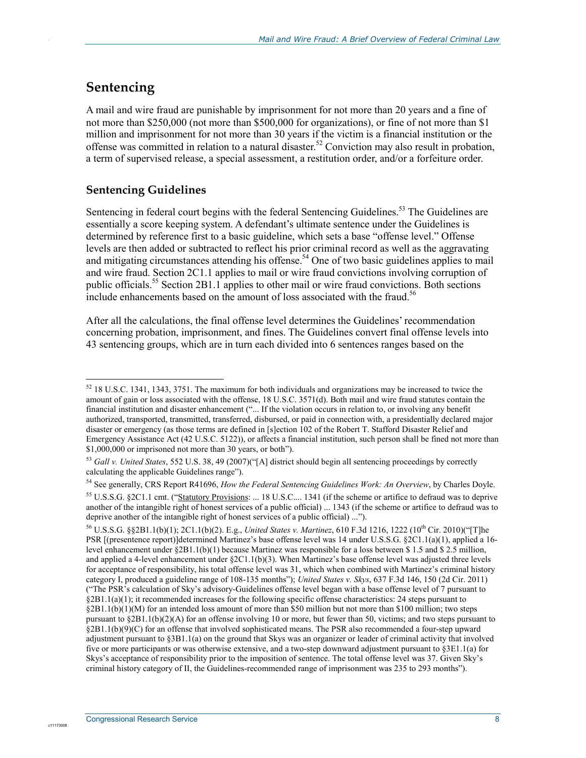### **Sentencing**

.

A mail and wire fraud are punishable by imprisonment for not more than 20 years and a fine of not more than \$250,000 (not more than \$500,000 for organizations), or fine of not more than \$1 million and imprisonment for not more than 30 years if the victim is a financial institution or the offense was committed in relation to a natural disaster.<sup>52</sup> Conviction may also result in probation, a term of supervised release, a special assessment, a restitution order, and/or a forfeiture order.

### **Sentencing Guidelines**

Sentencing in federal court begins with the federal Sentencing Guidelines.<sup>53</sup> The Guidelines are essentially a score keeping system. A defendant's ultimate sentence under the Guidelines is determined by reference first to a basic guideline, which sets a base "offense level." Offense levels are then added or subtracted to reflect his prior criminal record as well as the aggravating and mitigating circumstances attending his offense.<sup>54</sup> One of two basic guidelines applies to mail and wire fraud. Section 2C1.1 applies to mail or wire fraud convictions involving corruption of public officials.<sup>55</sup> Section 2B1.1 applies to other mail or wire fraud convictions. Both sections include enhancements based on the amount of loss associated with the fraud.<sup>56</sup>

After all the calculations, the final offense level determines the Guidelines' recommendation concerning probation, imprisonment, and fines. The Guidelines convert final offense levels into 43 sentencing groups, which are in turn each divided into 6 sentences ranges based on the

54 See generally, CRS Report R41696, *How the Federal Sentencing Guidelines Work: An Overview*, by Charles Doyle.

<sup>1</sup>  $52$  18 U.S.C. 1341, 1343, 3751. The maximum for both individuals and organizations may be increased to twice the amount of gain or loss associated with the offense, 18 U.S.C. 3571(d). Both mail and wire fraud statutes contain the financial institution and disaster enhancement ("... If the violation occurs in relation to, or involving any benefit authorized, transported, transmitted, transferred, disbursed, or paid in connection with, a presidentially declared major disaster or emergency (as those terms are defined in [s]ection 102 of the Robert T. Stafford Disaster Relief and Emergency Assistance Act (42 U.S.C. 5122)), or affects a financial institution, such person shall be fined not more than \$1,000,000 or imprisoned not more than 30 years, or both").

<sup>53</sup> *Gall v. United States*, 552 U.S. 38, 49 (2007)("[A] district should begin all sentencing proceedings by correctly calculating the applicable Guidelines range").

<sup>55</sup> U.S.S.G. §2C1.1 cmt. ("Statutory Provisions: ... 18 U.S.C.... 1341 (if the scheme or artifice to defraud was to deprive another of the intangible right of honest services of a public official) ... 1343 (if the scheme or artifice to defraud was to deprive another of the intangible right of honest services of a public official) ...").

<sup>&</sup>lt;sup>56</sup> U.S.S.G. §§2B1.1(b)(1); 2C1.1(b)(2). E.g., *United States v. Martinez*, 610 F.3d 1216, 1222 (10<sup>th</sup> Cir. 2010)("[T]he PSR [(presentence report)]determined Martinez's base offense level was 14 under U.S.S.G. §2C1.1(a)(1), applied a 16 level enhancement under §2B1.1(b)(1) because Martinez was responsible for a loss between \$ 1.5 and \$ 2.5 million, and applied a 4-level enhancement under  $\S 2C1.1(b)(3)$ . When Martinez's base offense level was adjusted three levels for acceptance of responsibility, his total offense level was 31, which when combined with Martinez's criminal history category I, produced a guideline range of 108-135 months"); *United States v. Skys*, 637 F.3d 146, 150 (2d Cir. 2011) ("The PSR's calculation of Sky's advisory-Guidelines offense level began with a base offense level of 7 pursuant to  $\S 2B1.1(a)(1)$ ; it recommended increases for the following specific offense characteristics: 24 steps pursuant to §2B1.1(b)(1)(M) for an intended loss amount of more than \$50 million but not more than \$100 million; two steps pursuant to  $\S 2B1.1(b)(2)(A)$  for an offense involving 10 or more, but fewer than 50, victims; and two steps pursuant to §2B1.1(b)(9)(C) for an offense that involved sophisticated means. The PSR also recommended a four-step upward adjustment pursuant to §3B1.1(a) on the ground that Skys was an organizer or leader of criminal activity that involved five or more participants or was otherwise extensive, and a two-step downward adjustment pursuant to §3E1.1(a) for Skys's acceptance of responsibility prior to the imposition of sentence. The total offense level was 37. Given Sky's criminal history category of II, the Guidelines-recommended range of imprisonment was 235 to 293 months").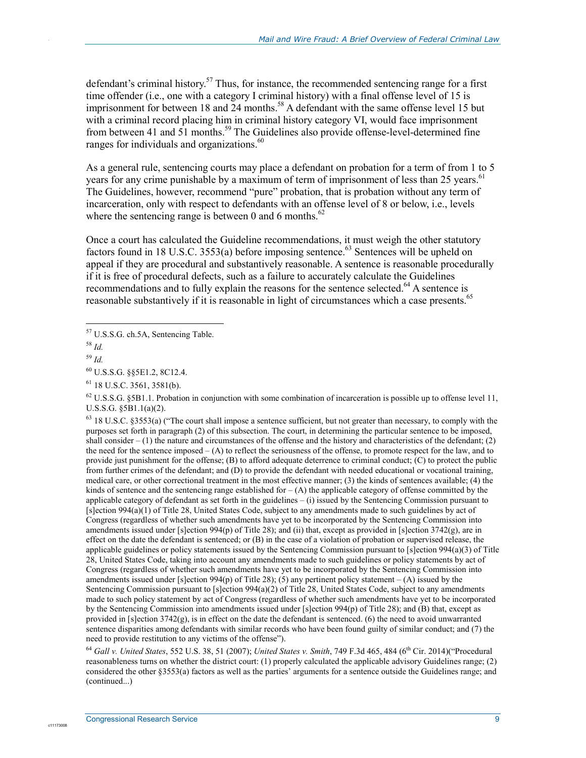defendant's criminal history.<sup>57</sup> Thus, for instance, the recommended sentencing range for a first time offender (i.e., one with a category I criminal history) with a final offense level of 15 is imprisonment for between 18 and 24 months.<sup>58</sup> A defendant with the same offense level 15 but with a criminal record placing him in criminal history category VI, would face imprisonment from between 41 and  $51$  months.<sup>59</sup> The Guidelines also provide offense-level-determined fine ranges for individuals and organizations.<sup>60</sup>

As a general rule, sentencing courts may place a defendant on probation for a term of from 1 to 5 years for any crime punishable by a maximum of term of imprisonment of less than 25 years.<sup>61</sup> The Guidelines, however, recommend "pure" probation, that is probation without any term of incarceration, only with respect to defendants with an offense level of 8 or below, i.e., levels where the sentencing range is between 0 and 6 months. $62$ 

Once a court has calculated the Guideline recommendations, it must weigh the other statutory factors found in 18 U.S.C. 3553(a) before imposing sentence.<sup>63</sup> Sentences will be upheld on appeal if they are procedural and substantively reasonable. A sentence is reasonable procedurally if it is free of procedural defects, such as a failure to accurately calculate the Guidelines recommendations and to fully explain the reasons for the sentence selected.<sup>64</sup> A sentence is reasonable substantively if it is reasonable in light of circumstances which a case presents.<sup>65</sup>

<u>.</u>

.

 $62$  U.S.S.G. §5B1.1. Probation in conjunction with some combination of incarceration is possible up to offense level 11, U.S.S.G. §5B1.1(a)(2).

 $63$  18 U.S.C. §3553(a) ("The court shall impose a sentence sufficient, but not greater than necessary, to comply with the purposes set forth in paragraph (2) of this subsection. The court, in determining the particular sentence to be imposed, shall consider  $-(1)$  the nature and circumstances of the offense and the history and characteristics of the defendant; (2) the need for the sentence imposed – (A) to reflect the seriousness of the offense, to promote respect for the law, and to provide just punishment for the offense; (B) to afford adequate deterrence to criminal conduct; (C) to protect the public from further crimes of the defendant; and (D) to provide the defendant with needed educational or vocational training, medical care, or other correctional treatment in the most effective manner; (3) the kinds of sentences available; (4) the kinds of sentence and the sentencing range established for  $- (A)$  the applicable category of offense committed by the applicable category of defendant as set forth in the guidelines – (i) issued by the Sentencing Commission pursuant to [s]ection 994(a)(1) of Title 28, United States Code, subject to any amendments made to such guidelines by act of Congress (regardless of whether such amendments have yet to be incorporated by the Sentencing Commission into amendments issued under [s]ection 994(p) of Title 28); and (ii) that, except as provided in [s]ection 3742(g), are in effect on the date the defendant is sentenced; or (B) in the case of a violation of probation or supervised release, the applicable guidelines or policy statements issued by the Sentencing Commission pursuant to [s]ection 994(a)(3) of Title 28, United States Code, taking into account any amendments made to such guidelines or policy statements by act of Congress (regardless of whether such amendments have yet to be incorporated by the Sentencing Commission into amendments issued under [s]ection 994(p) of Title 28); (5) any pertinent policy statement – (A) issued by the Sentencing Commission pursuant to [s]ection 994(a)(2) of Title 28, United States Code, subject to any amendments made to such policy statement by act of Congress (regardless of whether such amendments have yet to be incorporated by the Sentencing Commission into amendments issued under [s]ection 994(p) of Title 28); and (B) that, except as provided in [s]ection  $3742(g)$ , is in effect on the date the defendant is sentenced. (6) the need to avoid unwarranted sentence disparities among defendants with similar records who have been found guilty of similar conduct; and (7) the need to provide restitution to any victims of the offense").

<sup>64</sup> Gall v. United States, 552 U.S. 38, 51 (2007); *United States v. Smith*, 749 F.3d 465, 484 (6<sup>th</sup> Cir. 2014)("Procedural reasonableness turns on whether the district court: (1) properly calculated the applicable advisory Guidelines range; (2) considered the other §3553(a) factors as well as the parties' arguments for a sentence outside the Guidelines range; and (continued...)

<sup>&</sup>lt;sup>57</sup> U.S.S.G. ch.5A, Sentencing Table.

<sup>58</sup> *Id.* 

<sup>59</sup> *Id.* 

<sup>60</sup> U.S.S.G. §§5E1.2, 8C12.4.

<sup>61 18</sup> U.S.C. 3561, 3581(b).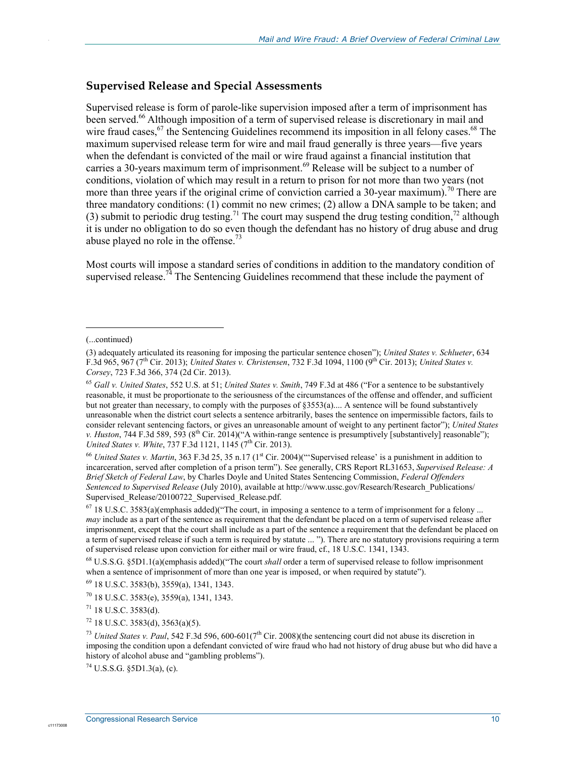### **Supervised Release and Special Assessments**

Supervised release is form of parole-like supervision imposed after a term of imprisonment has been served.<sup>66</sup> Although imposition of a term of supervised release is discretionary in mail and wire fraud cases,<sup>67</sup> the Sentencing Guidelines recommend its imposition in all felony cases.<sup>68</sup> The maximum supervised release term for wire and mail fraud generally is three years—five years when the defendant is convicted of the mail or wire fraud against a financial institution that carries a 30-years maximum term of imprisonment.<sup>69</sup> Release will be subject to a number of conditions, violation of which may result in a return to prison for not more than two years (not more than three years if the original crime of conviction carried a 30-year maximum).<sup>70</sup> There are three mandatory conditions: (1) commit no new crimes; (2) allow a DNA sample to be taken; and (3) submit to periodic drug testing.<sup>71</sup> The court may suspend the drug testing condition,<sup>72</sup> although it is under no obligation to do so even though the defendant has no history of drug abuse and drug abuse played no role in the offense.<sup>73</sup>

Most courts will impose a standard series of conditions in addition to the mandatory condition of supervised release.<sup>74</sup> The Sentencing Guidelines recommend that these include the payment of

 $\overline{a}$ 

.

<sup>66</sup> United States v. Martin, 363 F.3d 25, 35 n.17 (1<sup>st</sup> Cir. 2004)("Supervised release' is a punishment in addition to incarceration, served after completion of a prison term"). See generally, CRS Report RL31653, *Supervised Release: A Brief Sketch of Federal Law*, by Charles Doyle and United States Sentencing Commission, *Federal Offenders Sentenced to Supervised Release* (July 2010), available at http://www.ussc.gov/Research/Research\_Publications/ Supervised Release/20100722 Supervised Release.pdf.

 $67$  18 U.S.C. 3583(a)(emphasis added)("The court, in imposing a sentence to a term of imprisonment for a felony ... *may* include as a part of the sentence as requirement that the defendant be placed on a term of supervised release after imprisonment, except that the court shall include as a part of the sentence a requirement that the defendant be placed on a term of supervised release if such a term is required by statute ... "). There are no statutory provisions requiring a term of supervised release upon conviction for either mail or wire fraud, cf., 18 U.S.C. 1341, 1343.

68 U.S.S.G. §5D1.1(a)(emphasis added)("The court *shall* order a term of supervised release to follow imprisonment when a sentence of imprisonment of more than one year is imposed, or when required by statute").

69 18 U.S.C. 3583(b), 3559(a), 1341, 1343.

 $70$  18 U.S.C. 3583(e), 3559(a), 1341, 1343.

 $71$  18 U.S.C. 3583(d).

 $72$  18 U.S.C. 3583(d), 3563(a)(5).

<sup>73</sup> *United States v. Paul*, 542 F.3d 596, 600-601(7<sup>th</sup> Cir. 2008)(the sentencing court did not abuse its discretion in imposing the condition upon a defendant convicted of wire fraud who had not history of drug abuse but who did have a history of alcohol abuse and "gambling problems").

 $^{74}$  U.S.S.G. §5D1.3(a), (c).

<sup>(...</sup>continued)

<sup>(3)</sup> adequately articulated its reasoning for imposing the particular sentence chosen"); *United States v. Schlueter*, 634 F.3d 965, 967 (7th Cir. 2013); *United States v. Christensen*, 732 F.3d 1094, 1100 (9th Cir. 2013); *United States v. Corsey*, 723 F.3d 366, 374 (2d Cir. 2013).

<sup>65</sup> *Gall v. United States*, 552 U.S. at 51; *United States v. Smith*, 749 F.3d at 486 ("For a sentence to be substantively reasonable, it must be proportionate to the seriousness of the circumstances of the offense and offender, and sufficient but not greater than necessary, to comply with the purposes of §3553(a).... A sentence will be found substantively unreasonable when the district court selects a sentence arbitrarily, bases the sentence on impermissible factors, fails to consider relevant sentencing factors, or gives an unreasonable amount of weight to any pertinent factor"); *United States v. Huston*, 744 F.3d 589, 593 ( $8^{th}$  Cir. 2014)("A within-range sentence is presumptively [substantively] reasonable"); *United States v. White, 737 F.3d 1121, 1145 (7<sup>th</sup> Cir. 2013).*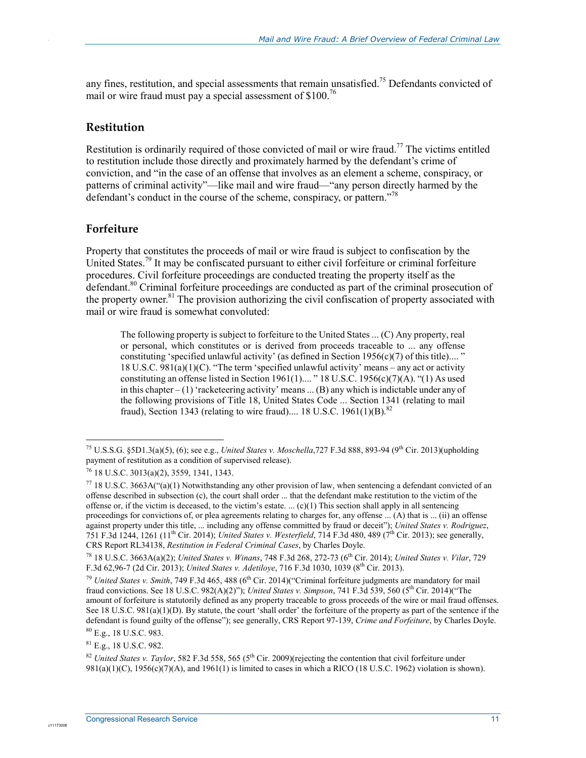any fines, restitution, and special assessments that remain unsatisfied.<sup>75</sup> Defendants convicted of mail or wire fraud must pay a special assessment of  $$100.<sup>76</sup>$ 

### **Restitution**

.

Restitution is ordinarily required of those convicted of mail or wire fraud.<sup>77</sup> The victims entitled to restitution include those directly and proximately harmed by the defendant's crime of conviction, and "in the case of an offense that involves as an element a scheme, conspiracy, or patterns of criminal activity"—like mail and wire fraud—"any person directly harmed by the defendant's conduct in the course of the scheme, conspiracy, or pattern.<sup> $78$ </sup>

### **Forfeiture**

<u>.</u>

Property that constitutes the proceeds of mail or wire fraud is subject to confiscation by the United States.<sup>79</sup> It may be confiscated pursuant to either civil forfeiture or criminal forfeiture procedures. Civil forfeiture proceedings are conducted treating the property itself as the defendant.<sup>80</sup> Criminal forfeiture proceedings are conducted as part of the criminal prosecution of the property owner.<sup>81</sup> The provision authorizing the civil confiscation of property associated with mail or wire fraud is somewhat convoluted:

The following property is subject to forfeiture to the United States ... (C) Any property, real or personal, which constitutes or is derived from proceeds traceable to ... any offense constituting 'specified unlawful activity' (as defined in Section 1956(c)(7) of this title).... " 18 U.S.C.  $981(a)(1)(C)$ . "The term 'specified unlawful activity' means – any act or activity constituting an offense listed in Section 1961(1).... " 18 U.S.C. 1956(c)(7)(A). "(1) As used in this chapter – (1) 'racketeering activity' means ... (B) any which is indictable under any of the following provisions of Title 18, United States Code ... Section 1341 (relating to mail fraud), Section 1343 (relating to wire fraud).... 18 U.S.C. 1961(1)(B).<sup>82</sup>

81 E.g., 18 U.S.C. 982.

<sup>&</sup>lt;sup>75</sup> U.S.S.G. §5D1.3(a)(5), (6); see e.g., *United States v. Moschella*,727 F.3d 888, 893-94 (9<sup>th</sup> Cir. 2013)(upholding payment of restitution as a condition of supervised release).

<sup>76 18</sup> U.S.C. 3013(a)(2), 3559, 1341, 1343.

 $^{77}$  18 U.S.C. 3663A("(a)(1) Notwithstanding any other provision of law, when sentencing a defendant convicted of an offense described in subsection (c), the court shall order ... that the defendant make restitution to the victim of the offense or, if the victim is deceased, to the victim's estate. ...  $(c)(1)$  This section shall apply in all sentencing proceedings for convictions of, or plea agreements relating to charges for, any offense ... (A) that is ... (ii) an offense against property under this title, ... including any offense committed by fraud or deceit"); *United States v. Rodriguez*, 751 F.3d 1244, 1261 (11th Cir. 2014); *United States v. Westerfield*, 714 F.3d 480, 489 (7th Cir. 2013); see generally, CRS Report RL34138, *Restitution in Federal Criminal Cases*, by Charles Doyle.

<sup>78 18</sup> U.S.C. 3663A(a)(2); *United States v. Winans*, 748 F.3d 268, 272-73 (6th Cir. 2014); *United States v. Vilar*, 729 F.3d 62,96-7 (2d Cir. 2013); *United States v. Adetiloye*, 716 F.3d 1030, 1039 (8th Cir. 2013).

<sup>&</sup>lt;sup>79</sup> *United States v. Smith*, 749 F.3d 465, 488 (6<sup>th</sup> Cir. 2014)("Criminal forfeiture judgments are mandatory for mail fraud convictions. See 18 U.S.C. 982(A)(2)"); *United States v. Simpson*, 741 F.3d 539, 560 (5th Cir. 2014)("The amount of forfeiture is statutorily defined as any property traceable to gross proceeds of the wire or mail fraud offenses. See 18 U.S.C. 981(a)(1)(D). By statute, the court 'shall order' the forfeiture of the property as part of the sentence if the defendant is found guilty of the offense"); see generally, CRS Report 97-139, *Crime and Forfeiture*, by Charles Doyle. 80 E.g., 18 U.S.C. 983.

<sup>&</sup>lt;sup>82</sup> *United States v. Taylor*, 582 F.3d 558, 565 (5<sup>th</sup> Cir. 2009)(rejecting the contention that civil forfeiture under  $981(a)(1)(C)$ ,  $1956(c)(7)(A)$ , and  $1961(1)$  is limited to cases in which a RICO (18 U.S.C. 1962) violation is shown).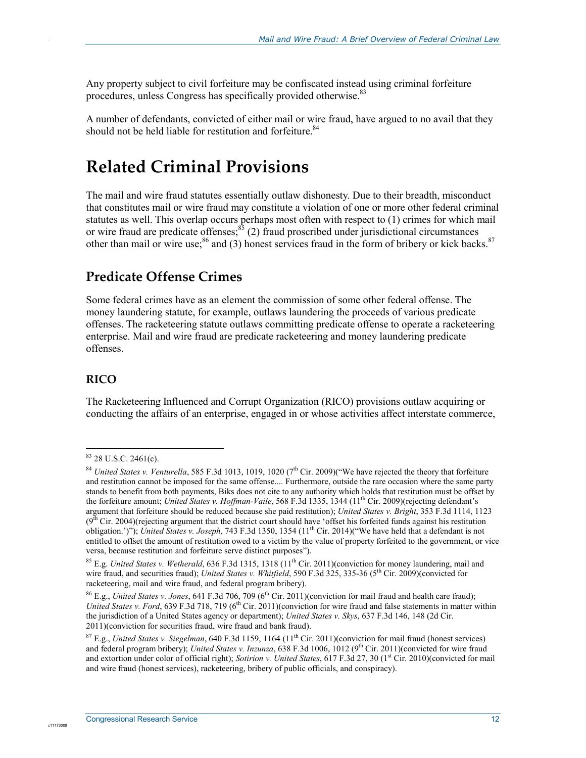Any property subject to civil forfeiture may be confiscated instead using criminal forfeiture procedures, unless Congress has specifically provided otherwise.<sup>83</sup>

A number of defendants, convicted of either mail or wire fraud, have argued to no avail that they should not be held liable for restitution and forfeiture.<sup>84</sup>

## **Related Criminal Provisions**

The mail and wire fraud statutes essentially outlaw dishonesty. Due to their breadth, misconduct that constitutes mail or wire fraud may constitute a violation of one or more other federal criminal statutes as well. This overlap occurs perhaps most often with respect to (1) crimes for which mail or wire fraud are predicate offenses; $85$  (2) fraud proscribed under jurisdictional circumstances other than mail or wire use; $86$  and (3) honest services fraud in the form of bribery or kick backs. $87$ 

### **Predicate Offense Crimes**

Some federal crimes have as an element the commission of some other federal offense. The money laundering statute, for example, outlaws laundering the proceeds of various predicate offenses. The racketeering statute outlaws committing predicate offense to operate a racketeering enterprise. Mail and wire fraud are predicate racketeering and money laundering predicate offenses.

### **RICO**

<u>.</u>

.

The Racketeering Influenced and Corrupt Organization (RICO) provisions outlaw acquiring or conducting the affairs of an enterprise, engaged in or whose activities affect interstate commerce,

 $83$  28 U.S.C. 2461(c).

<sup>&</sup>lt;sup>84</sup> *United States v. Venturella*, 585 F.3d 1013, 1019, 1020 (7<sup>th</sup> Cir. 2009)("We have rejected the theory that forfeiture and restitution cannot be imposed for the same offense.... Furthermore, outside the rare occasion where the same party stands to benefit from both payments, Biks does not cite to any authority which holds that restitution must be offset by the forfeiture amount; *United States v. Hoffman-Vaile*, 568 F.3d 1335, 1344 (11<sup>th</sup> Cir. 2009)(rejecting defendant's argument that forfeiture should be reduced because she paid restitution); *United States v. Bright*, 353 F.3d 1114, 1123  $(9<sup>th</sup>$  Cir. 2004)(rejecting argument that the district court should have 'offset his forfeited funds against his restitution obligation.')"); *United States v. Joseph*, 743 F.3d 1350, 1354 (11<sup>th</sup> Cir. 2014)("We have held that a defendant is not entitled to offset the amount of restitution owed to a victim by the value of property forfeited to the government, or vice versa, because restitution and forfeiture serve distinct purposes").

<sup>&</sup>lt;sup>85</sup> E.g. *United States v. Wetherald*, 636 F.3d 1315, 1318 (11<sup>th</sup> Cir. 2011)(conviction for money laundering, mail and wire fraud, and securities fraud); *United States v. Whitfield*, 590 F.3d 325, 335-36 (5<sup>th</sup> Cir. 2009)(convicted for racketeering, mail and wire fraud, and federal program bribery).

<sup>&</sup>lt;sup>86</sup> E.g., *United States v. Jones*, 641 F.3d 706, 709 (6<sup>th</sup> Cir. 2011)(conviction for mail fraud and health care fraud); *United States v. Ford*, 639 F.3d 718, 719 (6<sup>th</sup> Cir. 2011)(conviction for wire fraud and false statements in matter within the jurisdiction of a United States agency or department); *United States v. Skys*, 637 F.3d 146, 148 (2d Cir. 2011)(conviction for securities fraud, wire fraud and bank fraud).

<sup>87</sup> E.g., *United States v. Siegelman*, 640 F.3d 1159, 1164 (11th Cir. 2011)(conviction for mail fraud (honest services) and federal program bribery); *United States v. Inzunza*, 638 F.3d 1006, 1012 (9th Cir. 2011)(convicted for wire fraud and extortion under color of official right); *Sotirion v. United States*, 617 F.3d 27, 30 (1<sup>st</sup> Cir. 2010)(convicted for mail and wire fraud (honest services), racketeering, bribery of public officials, and conspiracy).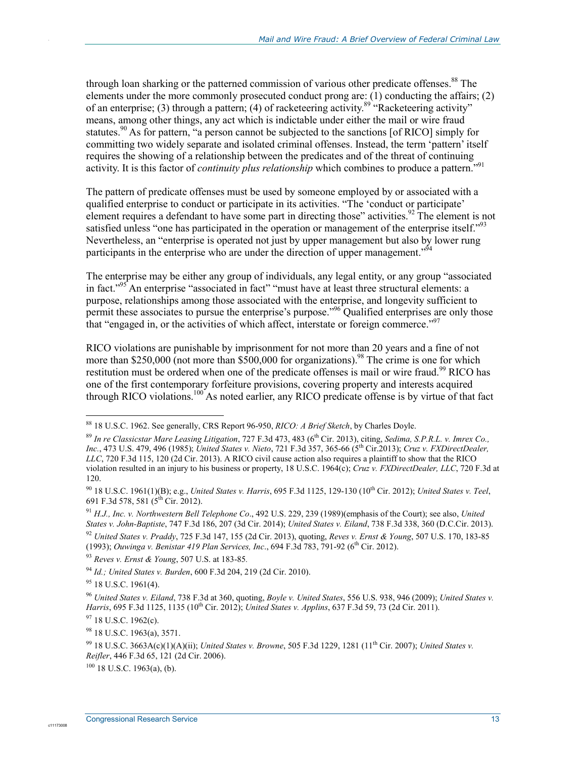through loan sharking or the patterned commission of various other predicate offenses.<sup>88</sup> The elements under the more commonly prosecuted conduct prong are:  $(1)$  conducting the affairs;  $(2)$ of an enterprise; (3) through a pattern; (4) of racketeering activity.<sup>89</sup> "Racketeering activity" means, among other things, any act which is indictable under either the mail or wire fraud statutes.<sup>90</sup> As for pattern, "a person cannot be subjected to the sanctions [of RICO] simply for committing two widely separate and isolated criminal offenses. Instead, the term 'pattern' itself requires the showing of a relationship between the predicates and of the threat of continuing activity. It is this factor of *continuity plus relationship* which combines to produce a pattern."<sup>91</sup>

The pattern of predicate offenses must be used by someone employed by or associated with a qualified enterprise to conduct or participate in its activities. "The 'conduct or participate' element requires a defendant to have some part in directing those" activities.<sup>92</sup> The element is not satisfied unless "one has participated in the operation or management of the enterprise itself."<sup>93</sup> Nevertheless, an "enterprise is operated not just by upper management but also by lower rung participants in the enterprise who are under the direction of upper management.<sup>"94</sup>

The enterprise may be either any group of individuals, any legal entity, or any group "associated in fact."95 An enterprise "associated in fact" "must have at least three structural elements: a purpose, relationships among those associated with the enterprise, and longevity sufficient to permit these associates to pursue the enterprise's purpose.<sup>"%</sup> Qualified enterprises are only those that "engaged in, or the activities of which affect, interstate or foreign commerce."<sup>97</sup>

RICO violations are punishable by imprisonment for not more than 20 years and a fine of not more than \$250,000 (not more than  $$500,000$  for organizations).<sup>98</sup> The crime is one for which restitution must be ordered when one of the predicate offenses is mail or wire fraud.<sup>99</sup> RICO has one of the first contemporary forfeiture provisions, covering property and interests acquired through RICO violations.<sup>100</sup> As noted earlier, any RICO predicate offense is by virtue of that fact

<sup>91</sup> *H.J., Inc. v. Northwestern Bell Telephone Co*., 492 U.S. 229, 239 (1989)(emphasis of the Court); see also, *United States v. John-Baptiste*, 747 F.3d 186, 207 (3d Cir. 2014); *United States v. Eiland*, 738 F.3d 338, 360 (D.C.Cir. 2013).

<sup>92</sup> *United States v. Praddy*, 725 F.3d 147, 155 (2d Cir. 2013), quoting, *Reves v. Ernst & Young*, 507 U.S. 170, 183-85 (1993); *Ouwinga v. Benistar 419 Plan Services, Inc*., 694 F.3d 783, 791-92 (6th Cir. 2012).

<sup>93</sup> *Reves v. Ernst & Young*, 507 U.S. at 183-85*.* 

95 18 U.S.C. 1961(4).

1

.

 $97$  18 U.S.C. 1962(c).

 $98$  18 U.S.C. 1963(a), 3571.

 $100$  18 U.S.C. 1963(a), (b).

<sup>88 18</sup> U.S.C. 1962. See generally, CRS Report 96-950, *RICO: A Brief Sketch*, by Charles Doyle.

<sup>89</sup> *In re Classicstar Mare Leasing Litigation*, 727 F.3d 473, 483 (6th Cir. 2013), citing, *Sedima, S.P.R.L. v. Imrex Co., Inc.*, 473 U.S. 479, 496 (1985); *United States v. Nieto*, 721 F.3d 357, 365-66 (5th Cir.2013); *Cruz v. FXDirectDealer, LLC*, 720 F.3d 115, 120 (2d Cir. 2013). A RICO civil cause action also requires a plaintiff to show that the RICO violation resulted in an injury to his business or property, 18 U.S.C. 1964(c); *Cruz v. FXDirectDealer, LLC*, 720 F.3d at 120.

<sup>90 18</sup> U.S.C. 1961(1)(B); e.g., *United States v. Harris*, 695 F.3d 1125, 129-130 (10th Cir. 2012); *United States v. Teel*, 691 F.3d 578, 581 (5th Cir. 2012).

<sup>94</sup> *Id.; United States v. Burden*, 600 F.3d 204, 219 (2d Cir. 2010).

<sup>96</sup> *United States v. Eiland*, 738 F.3d at 360, quoting, *Boyle v. United States*, 556 U.S. 938, 946 (2009); *United States v. Harris*, 695 F.3d 1125, 1135 (10<sup>th</sup> Cir. 2012); *United States v. Applins*, 637 F.3d 59, 73 (2d Cir. 2011).

<sup>99 18</sup> U.S.C. 3663A(c)(1)(A)(ii); *United States v. Browne*, 505 F.3d 1229, 1281 (11th Cir. 2007); *United States v. Reifler*, 446 F.3d 65, 121 (2d Cir. 2006).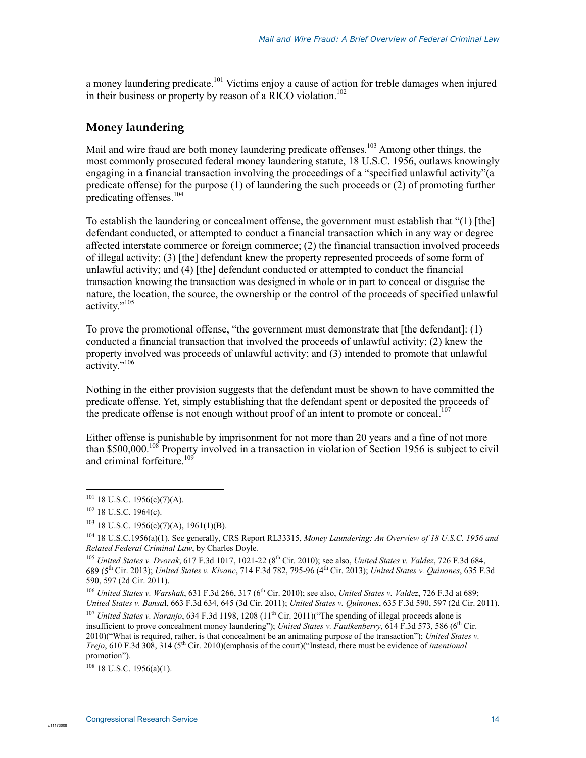a money laundering predicate.<sup>101</sup> Victims enjoy a cause of action for treble damages when injured in their business or property by reason of a RICO violation.<sup>102</sup>

### **Money laundering**

.

Mail and wire fraud are both money laundering predicate offenses.<sup>103</sup> Among other things, the most commonly prosecuted federal money laundering statute, 18 U.S.C. 1956, outlaws knowingly engaging in a financial transaction involving the proceedings of a "specified unlawful activity"(a predicate offense) for the purpose (1) of laundering the such proceeds or (2) of promoting further predicating offenses.104

To establish the laundering or concealment offense, the government must establish that "(1) [the] defendant conducted, or attempted to conduct a financial transaction which in any way or degree affected interstate commerce or foreign commerce; (2) the financial transaction involved proceeds of illegal activity; (3) [the] defendant knew the property represented proceeds of some form of unlawful activity; and (4) [the] defendant conducted or attempted to conduct the financial transaction knowing the transaction was designed in whole or in part to conceal or disguise the nature, the location, the source, the ownership or the control of the proceeds of specified unlawful activity."<sup>105</sup>

To prove the promotional offense, "the government must demonstrate that [the defendant]: (1) conducted a financial transaction that involved the proceeds of unlawful activity; (2) knew the property involved was proceeds of unlawful activity; and (3) intended to promote that unlawful activity."<sup>106</sup>

Nothing in the either provision suggests that the defendant must be shown to have committed the predicate offense. Yet, simply establishing that the defendant spent or deposited the proceeds of the predicate offense is not enough without proof of an intent to promote or conceal.<sup>107</sup>

Either offense is punishable by imprisonment for not more than 20 years and a fine of not more than \$500,000.<sup>108</sup> Property involved in a transaction in violation of Section 1956 is subject to civil and criminal forfeiture.<sup>109</sup>

<u>.</u>

c1117300

<sup>106</sup> *United States v. Warshak*, 631 F.3d 266, 317 (6<sup>th</sup> Cir. 2010); see also, *United States v. Valdez*, 726 F.3d at 689; *United States v. Bansa*l, 663 F.3d 634, 645 (3d Cir. 2011); *United States v. Quinones*, 635 F.3d 590, 597 (2d Cir. 2011).

<sup>107</sup> *United States v. Naranjo*, 634 F.3d 1198, 1208 (11<sup>th</sup> Cir. 2011)("The spending of illegal proceeds alone is insufficient to prove concealment money laundering"); *United States v. Faulkenberry*, 614 F.3d 573, 586 (6th Cir. 2010)("What is required, rather, is that concealment be an animating purpose of the transaction"); *United States v. Trejo*, 610 F.3d 308, 314 (5th Cir. 2010)(emphasis of the court)("Instead, there must be evidence of *intentional* promotion").

 $108$  18 U.S.C. 1956(a)(1).

 $101$  18 U.S.C. 1956(c)(7)(A).

 $102$  18 U.S.C. 1964(c).

 $103$  18 U.S.C. 1956(c)(7)(A), 1961(1)(B).

<sup>104 18</sup> U.S.C.1956(a)(1). See generally, CRS Report RL33315, *Money Laundering: An Overview of 18 U.S.C. 1956 and Related Federal Criminal Law*, by Charles Doyle*.* 

<sup>105</sup> *United States v. Dvorak*, 617 F.3d 1017, 1021-22 (8th Cir. 2010); see also, *United States v. Valdez*, 726 F.3d 684, 689 (5th Cir. 2013); *United States v. Kivanc*, 714 F.3d 782, 795-96 (4th Cir. 2013); *United States v. Quinones*, 635 F.3d 590, 597 (2d Cir. 2011).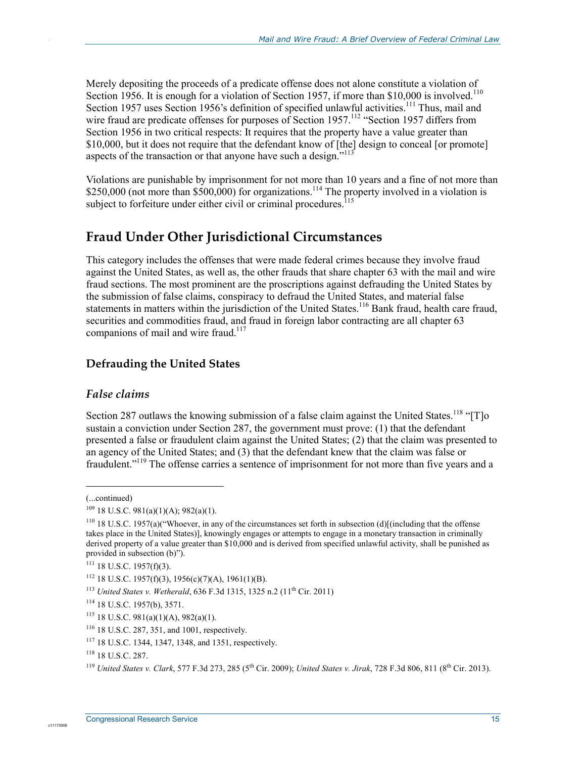Merely depositing the proceeds of a predicate offense does not alone constitute a violation of Section 1956. It is enough for a violation of Section 1957, if more than \$10,000 is involved.<sup>110</sup> Section 1957 uses Section 1956's definition of specified unlawful activities.<sup>111</sup> Thus, mail and wire fraud are predicate offenses for purposes of Section 1957.<sup>112</sup> "Section 1957 differs from Section 1956 in two critical respects: It requires that the property have a value greater than \$10,000, but it does not require that the defendant know of [the] design to conceal [or promote] aspects of the transaction or that anyone have such a design."<sup>113</sup>

Violations are punishable by imprisonment for not more than 10 years and a fine of not more than \$250,000 (not more than  $$500,000$ ) for organizations.<sup>114</sup> The property involved in a violation is subject to forfeiture under either civil or criminal procedures.<sup>115</sup>

### **Fraud Under Other Jurisdictional Circumstances**

This category includes the offenses that were made federal crimes because they involve fraud against the United States, as well as, the other frauds that share chapter 63 with the mail and wire fraud sections. The most prominent are the proscriptions against defrauding the United States by the submission of false claims, conspiracy to defraud the United States, and material false statements in matters within the jurisdiction of the United States.<sup>116</sup> Bank fraud, health care fraud, securities and commodities fraud, and fraud in foreign labor contracting are all chapter 63 companions of mail and wire fraud.<sup>11</sup>

### **Defrauding the United States**

### *False claims*

Section 287 outlaws the knowing submission of a false claim against the United States.<sup>118</sup> "[T]o sustain a conviction under Section 287, the government must prove: (1) that the defendant presented a false or fraudulent claim against the United States; (2) that the claim was presented to an agency of the United States; and (3) that the defendant knew that the claim was false or fraudulent."<sup>119</sup> The offense carries a sentence of imprisonment for not more than five years and a

1

.

<sup>(...</sup>continued)

 $109$  18 U.S.C. 981(a)(1)(A); 982(a)(1).

<sup>&</sup>lt;sup>110</sup> 18 U.S.C. 1957(a)("Whoever, in any of the circumstances set forth in subsection (d)[(including that the offense takes place in the United States)], knowingly engages or attempts to engage in a monetary transaction in criminally derived property of a value greater than \$10,000 and is derived from specified unlawful activity, shall be punished as provided in subsection (b)").

 $111$  18 U.S.C. 1957(f)(3).

 $112$  18 U.S.C. 1957(f)(3), 1956(c)(7)(A), 1961(1)(B).

<sup>113</sup> *United States v. Wetherald*, 636 F.3d 1315, 1325 n.2 (11th Cir. 2011)

<sup>114 18</sup> U.S.C. 1957(b), 3571.

 $115$  18 U.S.C. 981(a)(1)(A), 982(a)(1).

<sup>116 18</sup> U.S.C. 287, 351, and 1001, respectively.

<sup>117 18</sup> U.S.C. 1344, 1347, 1348, and 1351, respectively.

<sup>118 18</sup> U.S.C. 287.

<sup>119</sup> *United States v. Clark*, 577 F.3d 273, 285 (5th Cir. 2009); *United States v. Jirak*, 728 F.3d 806, 811 (8th Cir. 2013).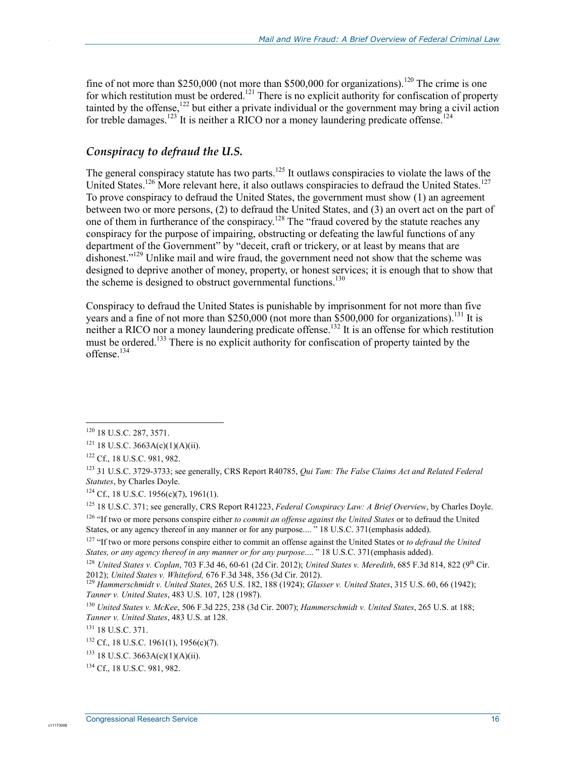fine of not more than \$250,000 (not more than \$500,000 for organizations).<sup>120</sup> The crime is one for which restitution must be ordered.<sup>121</sup> There is no explicit authority for confiscation of property tainted by the offense,<sup>122</sup> but either a private individual or the government may bring a civil action for treble damages.<sup>123</sup> It is neither a RICO nor a money laundering predicate offense.<sup>124</sup>

### *Conspiracy to defraud the U.S.*

The general conspiracy statute has two parts.<sup>125</sup> It outlaws conspiracies to violate the laws of the United States.<sup>126</sup> More relevant here, it also outlaws conspiracies to defraud the United States.<sup>127</sup> To prove conspiracy to defraud the United States, the government must show (1) an agreement between two or more persons, (2) to defraud the United States, and (3) an overt act on the part of one of them in furtherance of the conspiracy.<sup>128</sup> The "fraud covered by the statute reaches any conspiracy for the purpose of impairing, obstructing or defeating the lawful functions of any department of the Government" by "deceit, craft or trickery, or at least by means that are dishonest."<sup>129</sup> Unlike mail and wire fraud, the government need not show that the scheme was designed to deprive another of money, property, or honest services; it is enough that to show that the scheme is designed to obstruct governmental functions.<sup>130</sup>

Conspiracy to defraud the United States is punishable by imprisonment for not more than five years and a fine of not more than  $$250,000$  (not more than  $$500,000$  for organizations).<sup>131</sup> It is neither a RICO nor a money laundering predicate offense.<sup>132</sup> It is an offense for which restitution must be ordered.<sup>133</sup> There is no explicit authority for confiscation of property tainted by the offense.134

<u>.</u>

.

<sup>&</sup>lt;sup>120</sup> 18 U.S.C. 287, 3571.

 $121$  18 U.S.C. 3663A(c)(1)(A)(ii).

<sup>122</sup> Cf., 18 U.S.C. 981, 982.

<sup>123 31</sup> U.S.C. 3729-3733; see generally, CRS Report R40785, *Qui Tam: The False Claims Act and Related Federal Statutes*, by Charles Doyle.

<sup>&</sup>lt;sup>124</sup> Cf., 18 U.S.C. 1956(c)(7), 1961(1).

<sup>125 18</sup> U.S.C. 371; see generally, CRS Report R41223, *Federal Conspiracy Law: A Brief Overview*, by Charles Doyle.

<sup>&</sup>lt;sup>126</sup> "If two or more persons conspire either *to commit an offense against the United States* or to defraud the United States, or any agency thereof in any manner or for any purpose.... " 18 U.S.C. 371(emphasis added).

<sup>&</sup>lt;sup>127</sup> "If two or more persons conspire either to commit an offense against the United States or *to defraud the United States, or any agency thereof in any manner or for any purpose*.... " 18 U.S.C. 371(emphasis added).

<sup>128</sup> *United States v. Coplan*, 703 F.3d 46, 60-61 (2d Cir. 2012); *United States v. Meredith*, 685 F.3d 814, 822 (9th Cir. 2012); *United States v. Whiteford,* 676 F.3d 348, 356 (3d Cir. 2012). <sup>129</sup> *Hammerschmidt v. United States*, 265 U.S. 182, 188 (1924); *Glasser v. United States*, 315 U.S. 60, 66 (1942);

*Tanner v. United States*, 483 U.S. 107, 128 (1987).

<sup>130</sup> *United States v. McKee*, 506 F.3d 225, 238 (3d Cir. 2007); *Hammerschmidt v. United States*, 265 U.S. at 188; *Tanner v. United States*, 483 U.S. at 128.

<sup>&</sup>lt;sup>131</sup> 18 U.S.C. 371.

<sup>132</sup> Cf., 18 U.S.C. 1961(1), 1956(c)(7).

 $133$  18 U.S.C. 3663A(c)(1)(A)(ii).

<sup>134</sup> Cf., 18 U.S.C. 981, 982.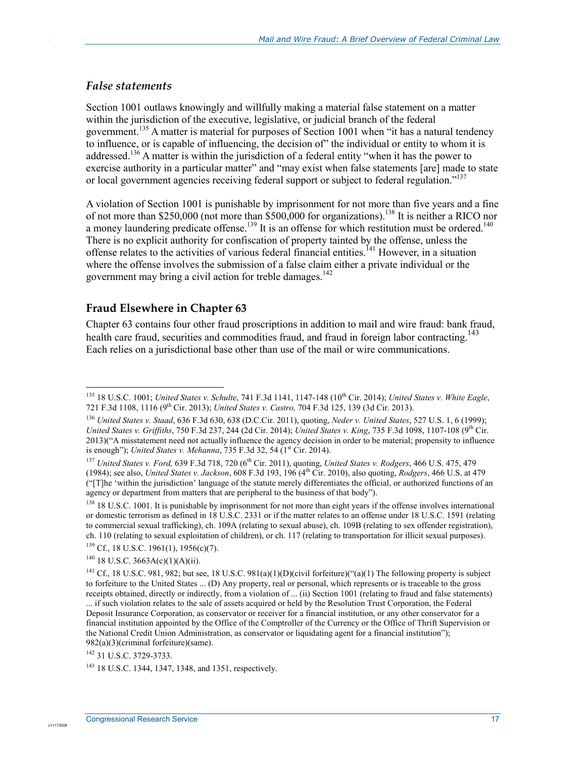#### *False statements*

.

Section 1001 outlaws knowingly and willfully making a material false statement on a matter within the jurisdiction of the executive, legislative, or judicial branch of the federal government.<sup>135</sup> A matter is material for purposes of Section 1001 when "it has a natural tendency to influence, or is capable of influencing, the decision of" the individual or entity to whom it is addressed.<sup>136</sup> A matter is within the jurisdiction of a federal entity "when it has the power to exercise authority in a particular matter" and "may exist when false statements [are] made to state or local government agencies receiving federal support or subject to federal regulation."<sup>137</sup>

A violation of Section 1001 is punishable by imprisonment for not more than five years and a fine of not more than \$250,000 (not more than \$500,000 for organizations).<sup>138</sup> It is neither a RICO nor a money laundering predicate offense.<sup>139</sup> It is an offense for which restitution must be ordered.<sup>140</sup> There is no explicit authority for confiscation of property tainted by the offense, unless the offense relates to the activities of various federal financial entities.<sup>141</sup> However, in a situation where the offense involves the submission of a false claim either a private individual or the government may bring a civil action for treble damages.<sup>142</sup>

### **Fraud Elsewhere in Chapter 63**

Chapter 63 contains four other fraud proscriptions in addition to mail and wire fraud: bank fraud, health care fraud, securities and commodities fraud, and fraud in foreign labor contracting.<sup>143</sup> Each relies on a jurisdictional base other than use of the mail or wire communications.

1

<sup>135 18</sup> U.S.C. 1001; *United States v. Schulte*, 741 F.3d 1141, 1147-148 (10th Cir. 2014); *United States v. White Eagle*, 721 F.3d 1108, 1116 (9th Cir. 2013); *United States v. Castro,* 704 F.3d 125, 139 (3d Cir. 2013).

<sup>136</sup> *United States v. Staad*, 636 F.3d 630, 638 (D.C.Cir. 2011), quoting, *Neder v. United States*, 527 U.S. 1, 6 (1999); *United States v. Griffiths*, 750 F.3d 237, 244 (2d Cir. 2014); *United States v. King*, 735 F.3d 1098, 1107-108 (9th Cir. 2013)("A misstatement need not actually influence the agency decision in order to be material; propensity to influence is enough"); *United States v. Mehanna*, 735 F.3d 32, 54 (1st Cir. 2014).

<sup>137</sup> *United States v. Ford,* 639 F.3d 718, 720 (6th Cir. 2011), quoting, *United States v. Rodgers*, 466 U.S. 475, 479 (1984); see also, *United States v. Jackson*, 608 F.3d 193, 196 (4th Cir. 2010), also quoting, *Rodgers*, 466 U.S. at 479 ("[T]he 'within the jurisdiction' language of the statute merely differentiates the official, or authorized functions of an agency or department from matters that are peripheral to the business of that body").

 $138\,18\,$  U.S.C. 1001. It is punishable by imprisonment for not more than eight years if the offense involves international or domestic terrorism as defined in 18 U.S.C. 2331 or if the matter relates to an offense under 18 U.S.C. 1591 (relating to commercial sexual trafficking), ch. 109A (relating to sexual abuse), ch. 109B (relating to sex offender registration), ch. 110 (relating to sexual exploitation of children), or ch. 117 (relating to transportation for illicit sexual purposes).

 $139$  Cf., 18 U.S.C. 1961(1), 1956(c)(7).

 $140$  18 U.S.C. 3663A(c)(1)(A)(ii).

<sup>&</sup>lt;sup>141</sup> Cf., 18 U.S.C. 981, 982; but see, 18 U.S.C. 981(a)(1)(D)(civil forfeiture)("(a)(1) The following property is subject to forfeiture to the United States ... (D) Any property, real or personal, which represents or is traceable to the gross receipts obtained, directly or indirectly, from a violation of ... (ii) Section 1001 (relating to fraud and false statements) ... if such violation relates to the sale of assets acquired or held by the Resolution Trust Corporation, the Federal Deposit Insurance Corporation, as conservator or receiver for a financial institution, or any other conservator for a financial institution appointed by the Office of the Comptroller of the Currency or the Office of Thrift Supervision or the National Credit Union Administration, as conservator or liquidating agent for a financial institution"); 982(a)(3)(criminal forfeiture)(same).

<sup>142 31</sup> U.S.C. 3729-3733.

<sup>143 18</sup> U.S.C. 1344, 1347, 1348, and 1351, respectively.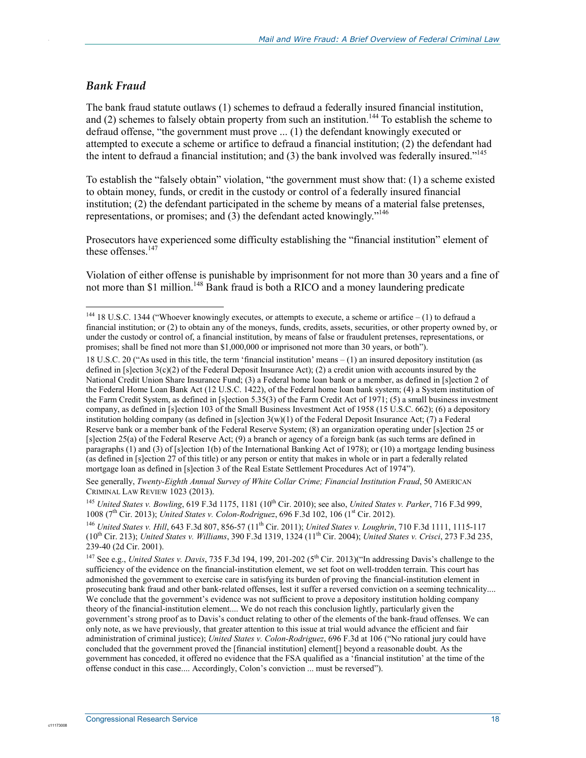#### *Bank Fraud*

.

1

The bank fraud statute outlaws (1) schemes to defraud a federally insured financial institution, and  $(2)$  schemes to falsely obtain property from such an institution.<sup>144</sup> To establish the scheme to defraud offense, "the government must prove ... (1) the defendant knowingly executed or attempted to execute a scheme or artifice to defraud a financial institution; (2) the defendant had the intent to defraud a financial institution; and  $(3)$  the bank involved was federally insured."<sup>145</sup>

To establish the "falsely obtain" violation, "the government must show that: (1) a scheme existed to obtain money, funds, or credit in the custody or control of a federally insured financial institution; (2) the defendant participated in the scheme by means of a material false pretenses, representations, or promises; and (3) the defendant acted knowingly."146

Prosecutors have experienced some difficulty establishing the "financial institution" element of these offenses. $147$ 

Violation of either offense is punishable by imprisonment for not more than 30 years and a fine of not more than \$1 million.<sup>148</sup> Bank fraud is both a RICO and a money laundering predicate

See generally, *Twenty-Eighth Annual Survey of White Collar Crime; Financial Institution Fraud*, 50 AMERICAN CRIMINAL LAW REVIEW 1023 (2013).

<sup>145</sup> *United States v. Bowling*, 619 F.3d 1175, 1181 (10th Cir. 2010); see also, *United States v. Parker*, 716 F.3d 999, 1008 (7<sup>th</sup> Cir. 2013); *United States v. Colon-Rodriguez*, 696 F.3d 102, 106 (1<sup>st</sup> Cir. 2012).

<sup>146</sup> *United States v. Hill*, 643 F.3d 807, 856-57 (11th Cir. 2011); *United States v. Loughrin*, 710 F.3d 1111, 1115-117 (10th Cir. 213); *United States v. Williams*, 390 F.3d 1319, 1324 (11th Cir. 2004); *United States v. Crisci*, 273 F.3d 235, 239-40 (2d Cir. 2001).

<sup>147</sup> See e.g., *United States v. Davis*, 735 F.3d 194, 199, 201-202 ( $5<sup>th</sup>$  Cir. 2013)("In addressing Davis's challenge to the sufficiency of the evidence on the financial-institution element, we set foot on well-trodden terrain. This court has admonished the government to exercise care in satisfying its burden of proving the financial-institution element in prosecuting bank fraud and other bank-related offenses, lest it suffer a reversed conviction on a seeming technicality.... We conclude that the government's evidence was not sufficient to prove a depository institution holding company theory of the financial-institution element.... We do not reach this conclusion lightly, particularly given the government's strong proof as to Davis's conduct relating to other of the elements of the bank-fraud offenses. We can only note, as we have previously, that greater attention to this issue at trial would advance the efficient and fair administration of criminal justice); *United States v. Colon-Rodriguez*, 696 F.3d at 106 ("No rational jury could have concluded that the government proved the [financial institution] element[] beyond a reasonable doubt. As the government has conceded, it offered no evidence that the FSA qualified as a 'financial institution' at the time of the offense conduct in this case.... Accordingly, Colon's conviction ... must be reversed").

<sup>&</sup>lt;sup>144</sup> 18 U.S.C. 1344 ("Whoever knowingly executes, or attempts to execute, a scheme or artifice  $- (1)$  to defraud a financial institution; or (2) to obtain any of the moneys, funds, credits, assets, securities, or other property owned by, or under the custody or control of, a financial institution, by means of false or fraudulent pretenses, representations, or promises; shall be fined not more than \$1,000,000 or imprisoned not more than 30 years, or both").

<sup>18</sup> U.S.C. 20 ("As used in this title, the term 'financial institution' means – (1) an insured depository institution (as defined in  $[s]$ ection  $3(c)(2)$  of the Federal Deposit Insurance Act); (2) a credit union with accounts insured by the National Credit Union Share Insurance Fund; (3) a Federal home loan bank or a member, as defined in [s]ection 2 of the Federal Home Loan Bank Act (12 U.S.C. 1422), of the Federal home loan bank system; (4) a System institution of the Farm Credit System, as defined in [s]ection 5.35(3) of the Farm Credit Act of 1971; (5) a small business investment company, as defined in [s]ection 103 of the Small Business Investment Act of 1958 (15 U.S.C. 662); (6) a depository institution holding company (as defined in [s]ection  $3(w)(1)$  of the Federal Deposit Insurance Act; (7) a Federal Reserve bank or a member bank of the Federal Reserve System; (8) an organization operating under [s]ection 25 or [s]ection 25(a) of the Federal Reserve Act; (9) a branch or agency of a foreign bank (as such terms are defined in paragraphs (1) and (3) of [s]ection 1(b) of the International Banking Act of 1978); or (10) a mortgage lending business (as defined in [s]ection 27 of this title) or any person or entity that makes in whole or in part a federally related mortgage loan as defined in [s]ection 3 of the Real Estate Settlement Procedures Act of 1974").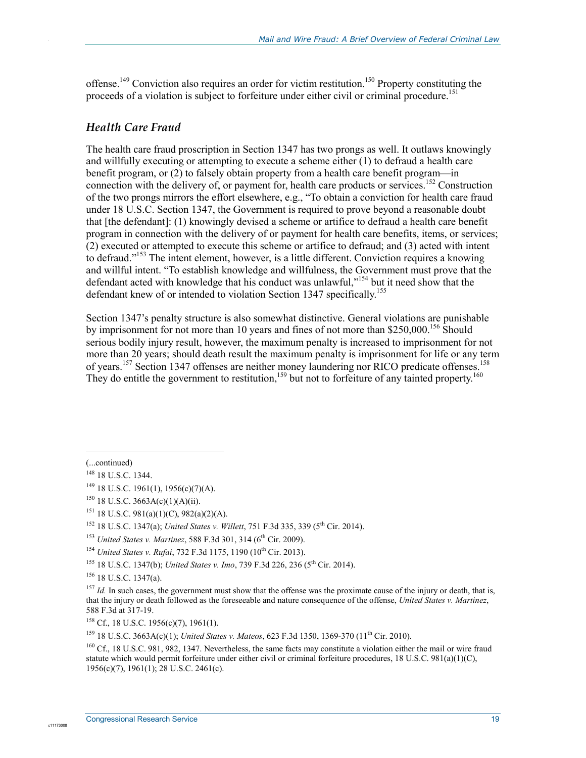offense.<sup>149</sup> Conviction also requires an order for victim restitution.<sup>150</sup> Property constituting the proceeds of a violation is subject to forfeiture under either civil or criminal procedure.<sup>151</sup>

#### *Health Care Fraud*

.

The health care fraud proscription in Section 1347 has two prongs as well. It outlaws knowingly and willfully executing or attempting to execute a scheme either (1) to defraud a health care benefit program, or (2) to falsely obtain property from a health care benefit program—in connection with the delivery of, or payment for, health care products or services.<sup>152</sup> Construction of the two prongs mirrors the effort elsewhere, e.g., "To obtain a conviction for health care fraud under 18 U.S.C. Section 1347, the Government is required to prove beyond a reasonable doubt that [the defendant]: (1) knowingly devised a scheme or artifice to defraud a health care benefit program in connection with the delivery of or payment for health care benefits, items, or services; (2) executed or attempted to execute this scheme or artifice to defraud; and (3) acted with intent to defraud."153 The intent element, however, is a little different. Conviction requires a knowing and willful intent. "To establish knowledge and willfulness, the Government must prove that the defendant acted with knowledge that his conduct was unlawful,"<sup>154</sup> but it need show that the defendant knew of or intended to violation Section 1347 specifically.<sup>155</sup>

Section 1347's penalty structure is also somewhat distinctive. General violations are punishable by imprisonment for not more than 10 years and fines of not more than \$250,000.<sup>156</sup> Should serious bodily injury result, however, the maximum penalty is increased to imprisonment for not more than 20 years; should death result the maximum penalty is imprisonment for life or any term of years.<sup>157</sup> Section 1347 offenses are neither money laundering nor RICO predicate offenses.<sup>158</sup> They do entitle the government to restitution,<sup>159</sup> but not to forfeiture of any tainted property.<sup>160</sup>

1

156 18 U.S.C. 1347(a).

<sup>(...</sup>continued)

<sup>148 18</sup> U.S.C. 1344.

 $149$  18 U.S.C. 1961(1), 1956(c)(7)(A).

<sup>&</sup>lt;sup>150</sup> 18 U.S.C. 3663A(c)(1)(A)(ii).

<sup>151 18</sup> U.S.C. 981(a)(1)(C), 982(a)(2)(A).

<sup>&</sup>lt;sup>152</sup> 18 U.S.C. 1347(a); *United States v. Willett*, 751 F.3d 335, 339 (5<sup>th</sup> Cir. 2014).

<sup>&</sup>lt;sup>153</sup> *United States v. Martinez*, 588 F.3d 301, 314 (6<sup>th</sup> Cir. 2009).

<sup>&</sup>lt;sup>154</sup> *United States v. Rufai*, 732 F.3d 1175, 1190 (10<sup>th</sup> Cir. 2013).

<sup>&</sup>lt;sup>155</sup> 18 U.S.C. 1347(b); *United States v. Imo*, 739 F.3d 226, 236 (5<sup>th</sup> Cir. 2014).

<sup>&</sup>lt;sup>157</sup> *Id.* In such cases, the government must show that the offense was the proximate cause of the injury or death, that is, that the injury or death followed as the foreseeable and nature consequence of the offense, *United States v. Martinez*, 588 F.3d at 317-19.

 $158$  Cf., 18 U.S.C. 1956(c)(7), 1961(1).

<sup>159 18</sup> U.S.C. 3663A(c)(1); *United States v. Mateos*, 623 F.3d 1350, 1369-370 (11th Cir. 2010).

<sup>&</sup>lt;sup>160</sup> Cf., 18 U.S.C. 981, 982, 1347. Nevertheless, the same facts may constitute a violation either the mail or wire fraud statute which would permit forfeiture under either civil or criminal forfeiture procedures, 18 U.S.C. 981(a)(1)(C), 1956(c)(7), 1961(1); 28 U.S.C. 2461(c).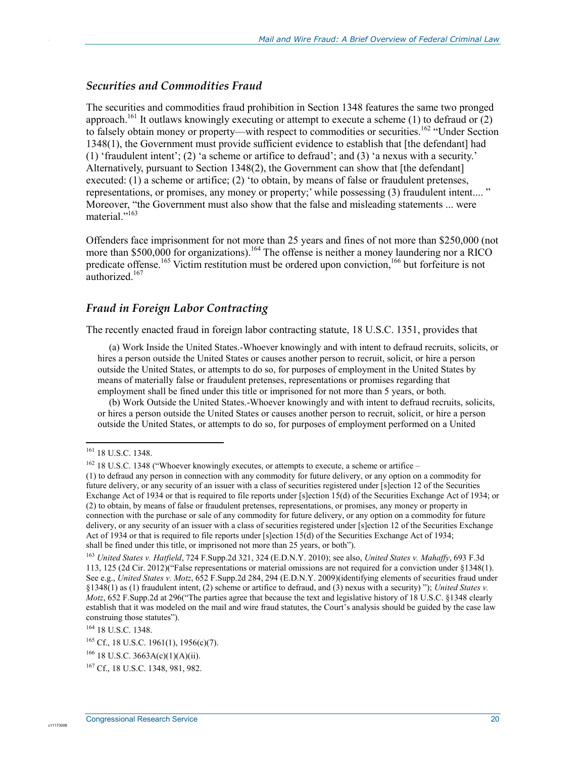#### *Securities and Commodities Fraud*

The securities and commodities fraud prohibition in Section 1348 features the same two pronged approach.<sup>161</sup> It outlaws knowingly executing or attempt to execute a scheme (1) to defraud or (2) to falsely obtain money or property—with respect to commodities or securities.<sup>162</sup> "Under Section" 1348(1), the Government must provide sufficient evidence to establish that [the defendant] had (1) 'fraudulent intent'; (2) 'a scheme or artifice to defraud'; and (3) 'a nexus with a security.' Alternatively, pursuant to Section 1348(2), the Government can show that [the defendant] executed: (1) a scheme or artifice; (2) 'to obtain, by means of false or fraudulent pretenses, representations, or promises, any money or property;' while possessing (3) fraudulent intent.... " Moreover, "the Government must also show that the false and misleading statements ... were material."<sup>163</sup>

Offenders face imprisonment for not more than 25 years and fines of not more than \$250,000 (not more than \$500,000 for organizations).<sup>164</sup> The offense is neither a money laundering nor a RICO predicate offense.<sup>165</sup> Victim restitution must be ordered upon conviction,<sup>166</sup> but forfeiture is not authorized<sup>167</sup>

#### *Fraud in Foreign Labor Contracting*

The recently enacted fraud in foreign labor contracting statute, 18 U.S.C. 1351, provides that

(a) Work Inside the United States.-Whoever knowingly and with intent to defraud recruits, solicits, or hires a person outside the United States or causes another person to recruit, solicit, or hire a person outside the United States, or attempts to do so, for purposes of employment in the United States by means of materially false or fraudulent pretenses, representations or promises regarding that employment shall be fined under this title or imprisoned for not more than 5 years, or both.

(b) Work Outside the United States.-Whoever knowingly and with intent to defraud recruits, solicits, or hires a person outside the United States or causes another person to recruit, solicit, or hire a person outside the United States, or attempts to do so, for purposes of employment performed on a United

<u>.</u>

.

<sup>161 18</sup> U.S.C. 1348.

<sup>&</sup>lt;sup>162</sup> 18 U.S.C. 1348 ("Whoever knowingly executes, or attempts to execute, a scheme or artifice –

<sup>(1)</sup> to defraud any person in connection with any commodity for future delivery, or any option on a commodity for future delivery, or any security of an issuer with a class of securities registered under [s]ection 12 of the Securities Exchange Act of 1934 or that is required to file reports under [s]ection 15(d) of the Securities Exchange Act of 1934; or (2) to obtain, by means of false or fraudulent pretenses, representations, or promises, any money or property in connection with the purchase or sale of any commodity for future delivery, or any option on a commodity for future delivery, or any security of an issuer with a class of securities registered under [s]ection 12 of the Securities Exchange Act of 1934 or that is required to file reports under [s]ection 15(d) of the Securities Exchange Act of 1934; shall be fined under this title, or imprisoned not more than 25 years, or both").

<sup>163</sup> *United States v. Hatfield*, 724 F.Supp.2d 321, 324 (E.D.N.Y. 2010); see also, *United States v. Mahaffy*, 693 F.3d 113, 125 (2d Cir. 2012)("False representations or material omissions are not required for a conviction under §1348(1). See e.g., *United States v. Motz*, 652 F.Supp.2d 284, 294 (E.D.N.Y. 2009)(identifying elements of securities fraud under §1348(1) as (1) fraudulent intent, (2) scheme or artifice to defraud, and (3) nexus with a security) "); *United States v. Motz*, 652 F.Supp.2d at 296("The parties agree that because the text and legislative history of 18 U.S.C. §1348 clearly establish that it was modeled on the mail and wire fraud statutes, the Court's analysis should be guided by the case law construing those statutes").

<sup>164 18</sup> U.S.C. 1348.

<sup>165</sup> Cf., 18 U.S.C. 1961(1), 1956(c)(7).

 $166$  18 U.S.C. 3663A(c)(1)(A)(ii).

<sup>167</sup> Cf., 18 U.S.C. 1348, 981, 982.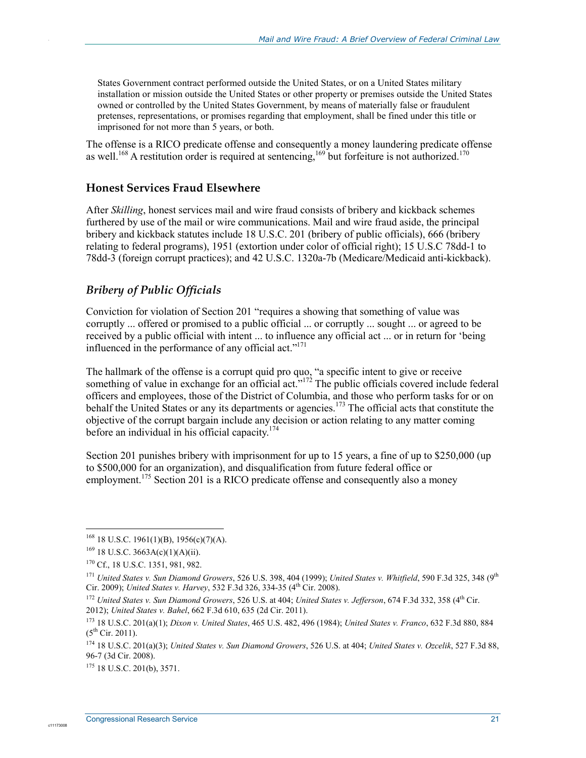States Government contract performed outside the United States, or on a United States military installation or mission outside the United States or other property or premises outside the United States owned or controlled by the United States Government, by means of materially false or fraudulent pretenses, representations, or promises regarding that employment, shall be fined under this title or imprisoned for not more than 5 years, or both.

The offense is a RICO predicate offense and consequently a money laundering predicate offense as well.<sup>168</sup> A restitution order is required at sentencing,<sup>169</sup> but forfeiture is not authorized.<sup>170</sup>

### **Honest Services Fraud Elsewhere**

After *Skilling*, honest services mail and wire fraud consists of bribery and kickback schemes furthered by use of the mail or wire communications. Mail and wire fraud aside, the principal bribery and kickback statutes include 18 U.S.C. 201 (bribery of public officials), 666 (bribery relating to federal programs), 1951 (extortion under color of official right); 15 U.S.C 78dd-1 to 78dd-3 (foreign corrupt practices); and 42 U.S.C. 1320a-7b (Medicare/Medicaid anti-kickback).

### *Bribery of Public Officials*

Conviction for violation of Section 201 "requires a showing that something of value was corruptly ... offered or promised to a public official ... or corruptly ... sought ... or agreed to be received by a public official with intent ... to influence any official act ... or in return for 'being influenced in the performance of any official act." $171$ 

The hallmark of the offense is a corrupt quid pro quo, "a specific intent to give or receive something of value in exchange for an official act."<sup>172</sup> The public officials covered include federal officers and employees, those of the District of Columbia, and those who perform tasks for or on behalf the United States or any its departments or agencies.<sup>173</sup> The official acts that constitute the objective of the corrupt bargain include any decision or action relating to any matter coming before an individual in his official capacity.174

Section 201 punishes bribery with imprisonment for up to 15 years, a fine of up to \$250,000 (up to \$500,000 for an organization), and disqualification from future federal office or employment.<sup>175</sup> Section 201 is a RICO predicate offense and consequently also a money

1

c1117300

.

 $168$  18 U.S.C. 1961(1)(B), 1956(c)(7)(A).

 $169$  18 U.S.C. 3663A(c)(1)(A)(ii).

<sup>170</sup> Cf., 18 U.S.C. 1351, 981, 982.

<sup>&</sup>lt;sup>171</sup> *United States v. Sun Diamond Growers, 526 U.S. 398, 404 (1999); <i>United States v. Whitfield, 590 F.3d 325, 348* (9<sup>th</sup> Cir. 2009); *United States v. Harvey*, 532 F.3d 326, 334-35 (4th Cir. 2008).

<sup>172</sup> *United States v. Sun Diamond Growers*, 526 U.S. at 404; *United States v. Jefferson*, 674 F.3d 332, 358 (4th Cir. 2012); *United States v. Bahel*, 662 F.3d 610, 635 (2d Cir. 2011).

<sup>173 18</sup> U.S.C. 201(a)(1); *Dixon v. United States*, 465 U.S. 482, 496 (1984); *United States v. Franco*, 632 F.3d 880, 884  $(5^{th}$  Cir. 2011).

<sup>174 18</sup> U.S.C. 201(a)(3); *United States v. Sun Diamond Growers*, 526 U.S. at 404; *United States v. Ozcelik*, 527 F.3d 88, 96-7 (3d Cir. 2008).

 $175$  18 U.S.C. 201(b), 3571.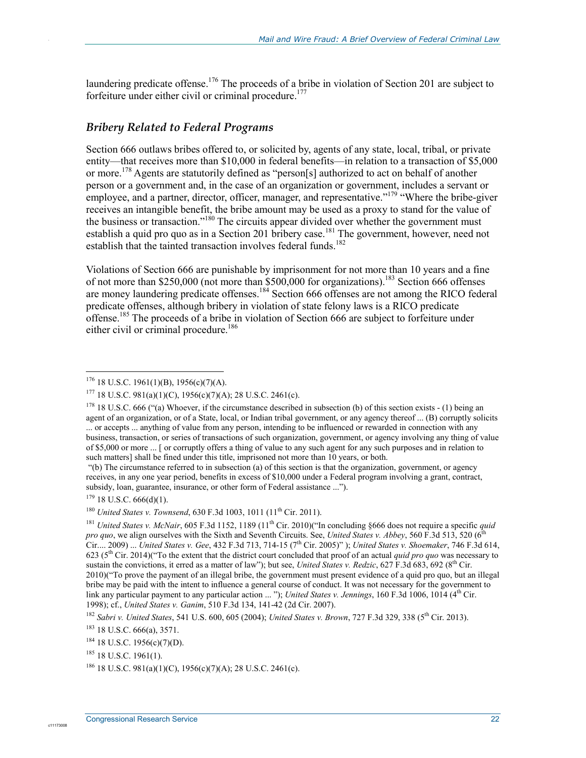laundering predicate offense.<sup>176</sup> The proceeds of a bribe in violation of Section 201 are subject to forfeiture under either civil or criminal procedure.<sup>177</sup>

### *Bribery Related to Federal Programs*

Section 666 outlaws bribes offered to, or solicited by, agents of any state, local, tribal, or private entity—that receives more than \$10,000 in federal benefits—in relation to a transaction of \$5,000 or more.<sup>178</sup> Agents are statutorily defined as "person[s] authorized to act on behalf of another person or a government and, in the case of an organization or government, includes a servant or employee, and a partner, director, officer, manager, and representative."<sup>179</sup> "Where the bribe-giver" receives an intangible benefit, the bribe amount may be used as a proxy to stand for the value of the business or transaction."<sup>180</sup> The circuits appear divided over whether the government must establish a quid pro quo as in a Section 201 bribery case.<sup>181</sup> The government, however, need not establish that the tainted transaction involves federal funds.<sup>182</sup>

Violations of Section 666 are punishable by imprisonment for not more than 10 years and a fine of not more than \$250,000 (not more than \$500,000 for organizations).<sup>183</sup> Section 666 offenses are money laundering predicate offenses.<sup>184</sup> Section 666 offenses are not among the RICO federal predicate offenses, although bribery in violation of state felony laws is a RICO predicate offense.<sup>185</sup> The proceeds of a bribe in violation of Section 666 are subject to forfeiture under either civil or criminal procedure.<sup>186</sup>

 "(b) The circumstance referred to in subsection (a) of this section is that the organization, government, or agency receives, in any one year period, benefits in excess of \$10,000 under a Federal program involving a grant, contract, subsidy, loan, guarantee, insurance, or other form of Federal assistance ...").

1

.

 $176$  18 U.S.C. 1961(1)(B), 1956(c)(7)(A).

<sup>&</sup>lt;sup>177</sup> 18 U.S.C. 981(a)(1)(C), 1956(c)(7)(A); 28 U.S.C. 2461(c).

<sup>&</sup>lt;sup>178</sup> 18 U.S.C. 666 ("(a) Whoever, if the circumstance described in subsection (b) of this section exists  $-$  (1) being an agent of an organization, or of a State, local, or Indian tribal government, or any agency thereof ... (B) corruptly solicits ... or accepts ... anything of value from any person, intending to be influenced or rewarded in connection with any business, transaction, or series of transactions of such organization, government, or agency involving any thing of value of \$5,000 or more ... [ or corruptly offers a thing of value to any such agent for any such purposes and in relation to such matters] shall be fined under this title, imprisoned not more than 10 years, or both.

 $179$  18 U.S.C. 666(d)(1).

<sup>&</sup>lt;sup>180</sup> *United States v. Townsend*, 630 F.3d 1003, 1011 (11<sup>th</sup> Cir. 2011).

<sup>&</sup>lt;sup>181</sup> *United States v. McNair*, 605 F.3d 1152, 1189 (11<sup>th</sup> Cir. 2010)("In concluding §666 does not require a specific *quid pro quo*, we align ourselves with the Sixth and Seventh Circuits. See, *United States v. Abbey*, 560 F.3d 513, 520 (6) Cir.... 2009) ... *United States v. Gee*, 432 F.3d 713, 714-15 (7th Cir. 2005)" ); *United States v. Shoemaker*, 746 F.3d 614, 623 ( $5<sup>th</sup>$  Cir. 2014)("To the extent that the district court concluded that proof of an actual *quid pro quo* was necessary to sustain the convictions, it erred as a matter of law"); but see, *United States v. Redzic*, 627 F.3d 683, 692 (8<sup>th</sup> Cir. 2010)("To prove the payment of an illegal bribe, the government must present evidence of a quid pro quo, but an illegal bribe may be paid with the intent to influence a general course of conduct. It was not necessary for the government to link any particular payment to any particular action ... "); *United States v. Jennings*, 160 F.3d 1006, 1014 (4<sup>th</sup> Cir. 1998); cf., *United States v. Ganim*, 510 F.3d 134, 141-42 (2d Cir. 2007).

<sup>182</sup> *Sabri v. United States*, 541 U.S. 600, 605 (2004); *United States v. Brown*, 727 F.3d 329, 338 (5th Cir. 2013).

 $183$  18 U.S.C. 666(a), 3571.

<sup>184 18</sup> U.S.C. 1956(c)(7)(D).

 $185$  18 U.S.C. 1961(1).

<sup>&</sup>lt;sup>186</sup> 18 U.S.C. 981(a)(1)(C), 1956(c)(7)(A); 28 U.S.C. 2461(c).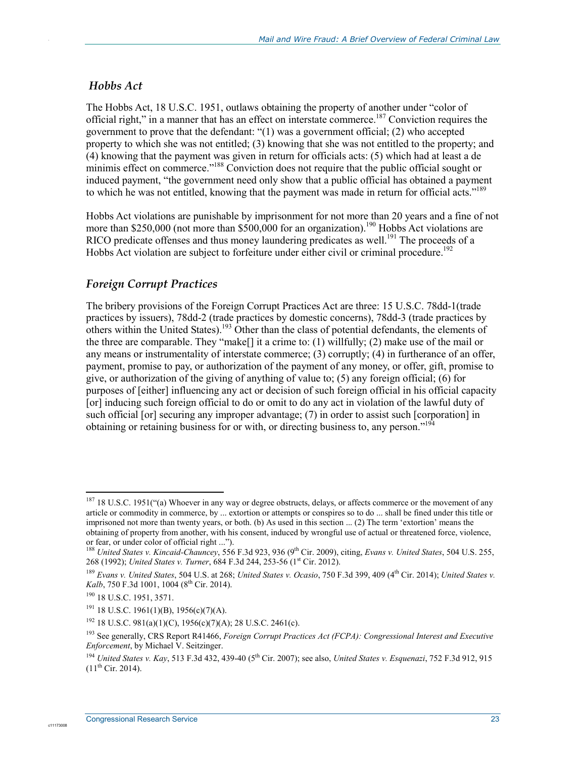### *Hobbs Act*

.

The Hobbs Act, 18 U.S.C. 1951, outlaws obtaining the property of another under "color of official right," in a manner that has an effect on interstate commerce.<sup>187</sup> Conviction requires the government to prove that the defendant: "(1) was a government official; (2) who accepted property to which she was not entitled; (3) knowing that she was not entitled to the property; and (4) knowing that the payment was given in return for officials acts: (5) which had at least a de minimis effect on commerce."<sup>188</sup> Conviction does not require that the public official sought or induced payment, "the government need only show that a public official has obtained a payment to which he was not entitled, knowing that the payment was made in return for official acts."<sup>189</sup>

Hobbs Act violations are punishable by imprisonment for not more than 20 years and a fine of not more than \$250,000 (not more than \$500,000 for an organization).<sup>190</sup> Hobbs Act violations are RICO predicate offenses and thus money laundering predicates as well.<sup>191</sup> The proceeds of a Hobbs Act violation are subject to forfeiture under either civil or criminal procedure.<sup>192</sup>

### *Foreign Corrupt Practices*

The bribery provisions of the Foreign Corrupt Practices Act are three: 15 U.S.C. 78dd-1(trade practices by issuers), 78dd-2 (trade practices by domestic concerns), 78dd-3 (trade practices by others within the United States).<sup>193</sup> Other than the class of potential defendants, the elements of the three are comparable. They "make[] it a crime to: (1) willfully; (2) make use of the mail or any means or instrumentality of interstate commerce; (3) corruptly; (4) in furtherance of an offer, payment, promise to pay, or authorization of the payment of any money, or offer, gift, promise to give, or authorization of the giving of anything of value to; (5) any foreign official; (6) for purposes of [either] influencing any act or decision of such foreign official in his official capacity [or] inducing such foreign official to do or omit to do any act in violation of the lawful duty of such official [or] securing any improper advantage; (7) in order to assist such [corporation] in obtaining or retaining business for or with, or directing business to, any person."<sup>194</sup>

<u>.</u>

<sup>&</sup>lt;sup>187</sup> 18 U.S.C. 1951("(a) Whoever in any way or degree obstructs, delays, or affects commerce or the movement of any article or commodity in commerce, by ... extortion or attempts or conspires so to do ... shall be fined under this title or imprisoned not more than twenty years, or both. (b) As used in this section ... (2) The term 'extortion' means the obtaining of property from another, with his consent, induced by wrongful use of actual or threatened force, violence, or fear, or under color of official right ...").

<sup>&</sup>lt;sup>188</sup> *United States v. Kincaid-Chauncey*, 556 F.3d 923, 936 (9<sup>th</sup> Cir. 2009), citing, *Evans v. United States*, 504 U.S. 255, 268 (1992); *United States v. Turner*, 684 F.3d 244, 253-56 (1<sup>st</sup> Cir. 2012).

<sup>189</sup> *Evans v. United States*, 504 U.S. at 268; *United States v. Ocasio*, 750 F.3d 399, 409 (4th Cir. 2014); *United States v. Kalb*, 750 F.3d 1001, 1004 (8<sup>th</sup> Cir. 2014).

<sup>190 18</sup> U.S.C. 1951, 3571.

 $191$  18 U.S.C. 1961(1)(B), 1956(c)(7)(A).

<sup>&</sup>lt;sup>192</sup> 18 U.S.C. 981(a)(1)(C), 1956(c)(7)(A); 28 U.S.C. 2461(c).

<sup>193</sup> See generally, CRS Report R41466, *Foreign Corrupt Practices Act (FCPA): Congressional Interest and Executive Enforcement*, by Michael V. Seitzinger.

<sup>194</sup> *United States v. Kay*, 513 F.3d 432, 439-40 (5th Cir. 2007); see also, *United States v. Esquenazi*, 752 F.3d 912, 915  $(11^{th}$  Cir. 2014).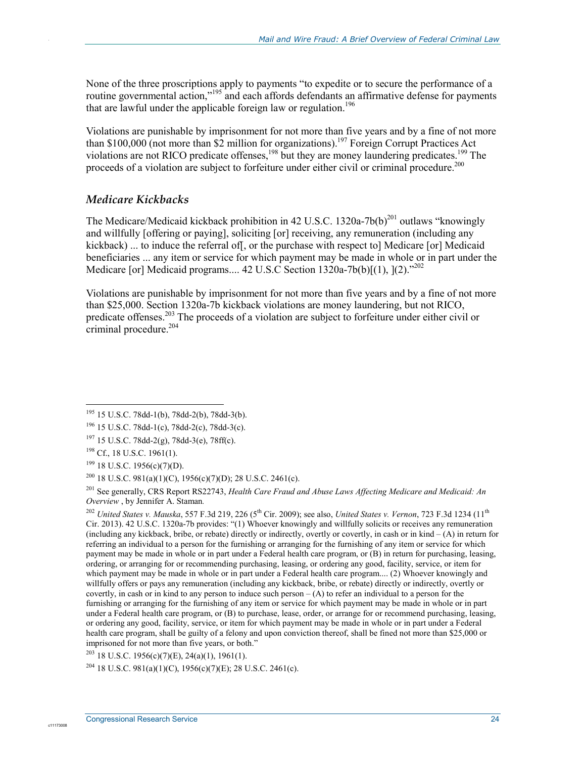None of the three proscriptions apply to payments "to expedite or to secure the performance of a routine governmental action,"<sup>195</sup> and each affords defendants an affirmative defense for payments that are lawful under the applicable foreign law or regulation.<sup>196</sup>

Violations are punishable by imprisonment for not more than five years and by a fine of not more than \$100,000 (not more than \$2 million for organizations).<sup>197</sup> Foreign Corrupt Practices Act violations are not RICO predicate offenses,<sup>198</sup> but they are money laundering predicates.<sup>199</sup> The proceeds of a violation are subject to forfeiture under either civil or criminal procedure.<sup>200</sup>

#### *Medicare Kickbacks*

The Medicare/Medicaid kickback prohibition in 42 U.S.C. 1320a-7b(b)<sup>201</sup> outlaws "knowingly and willfully [offering or paying], soliciting [or] receiving, any remuneration (including any kickback) ... to induce the referral of [, or the purchase with respect to [Medicare [or] Medicaid beneficiaries ... any item or service for which payment may be made in whole or in part under the Medicare [or] Medicaid programs.... 42 U.S.C Section  $1320a-7b(b)[(1), (2), \frac{1}{202}$ 

Violations are punishable by imprisonment for not more than five years and by a fine of not more than \$25,000. Section 1320a-7b kickback violations are money laundering, but not RICO, predicate offenses.<sup>203</sup> The proceeds of a violation are subject to forfeiture under either civil or criminal procedure.<sup>204</sup>

1

.

<sup>204</sup> 18 U.S.C. 981(a)(1)(C), 1956(c)(7)(E); 28 U.S.C. 2461(c).

<sup>195 15</sup> U.S.C. 78dd-1(b), 78dd-2(b), 78dd-3(b).

<sup>196 15</sup> U.S.C. 78dd-1(c), 78dd-2(c), 78dd-3(c).

 $197$  15 U.S.C. 78dd-2(g), 78dd-3(e), 78ff(c).

<sup>&</sup>lt;sup>198</sup> Cf., 18 U.S.C. 1961(1).

 $199$  18 U.S.C. 1956(c)(7)(D).

<sup>&</sup>lt;sup>200</sup> 18 U.S.C. 981(a)(1)(C), 1956(c)(7)(D); 28 U.S.C. 2461(c).

<sup>201</sup> See generally, CRS Report RS22743, *Health Care Fraud and Abuse Laws Affecting Medicare and Medicaid: An Overview* , by Jennifer A. Staman*.*

<sup>&</sup>lt;sup>202</sup> *United States v. Mauska,* 557 F.3d 219, 226 (5<sup>th</sup> Cir. 2009); see also, *United States v. Vernon*, 723 F.3d 1234 (11<sup>th</sup>) Cir. 2013). 42 U.S.C. 1320a-7b provides: "(1) Whoever knowingly and willfully solicits or receives any remuneration (including any kickback, bribe, or rebate) directly or indirectly, overtly or covertly, in cash or in kind – (A) in return for referring an individual to a person for the furnishing or arranging for the furnishing of any item or service for which payment may be made in whole or in part under a Federal health care program, or (B) in return for purchasing, leasing, ordering, or arranging for or recommending purchasing, leasing, or ordering any good, facility, service, or item for which payment may be made in whole or in part under a Federal health care program.... (2) Whoever knowingly and willfully offers or pays any remuneration (including any kickback, bribe, or rebate) directly or indirectly, overtly or covertly, in cash or in kind to any person to induce such person  $-(A)$  to refer an individual to a person for the furnishing or arranging for the furnishing of any item or service for which payment may be made in whole or in part under a Federal health care program, or (B) to purchase, lease, order, or arrange for or recommend purchasing, leasing, or ordering any good, facility, service, or item for which payment may be made in whole or in part under a Federal health care program, shall be guilty of a felony and upon conviction thereof, shall be fined not more than \$25,000 or imprisoned for not more than five years, or both."

 $203$  18 U.S.C. 1956(c)(7)(E), 24(a)(1), 1961(1).